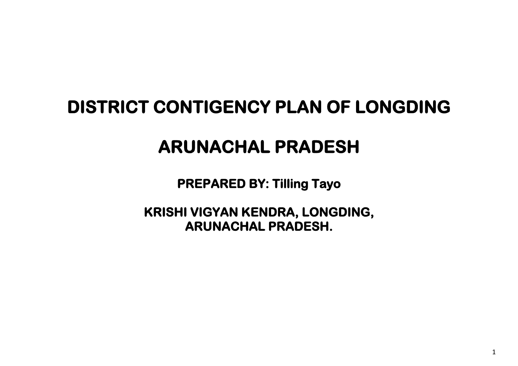# **DISTRICT CONTIGENCY PLAN OF LONGDING**

# **ARUNACHAL PRADESH**

**PREPARED BY: Tilling Tayo** 

**KRISHI VIGYAN KENDRA, LONGDING, ARUNACHAL PRADESH.**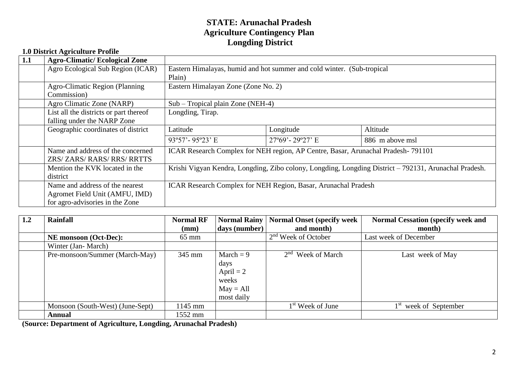#### **STATE: Arunachal Pradesh Agriculture Contingency Plan Longding District**

| 1.1 | <b>Agro-Climatic/Ecological Zone</b>                                                                 |                                                                                                       |                                                                                  |                 |  |  |  |
|-----|------------------------------------------------------------------------------------------------------|-------------------------------------------------------------------------------------------------------|----------------------------------------------------------------------------------|-----------------|--|--|--|
|     | Agro Ecological Sub Region (ICAR)                                                                    | Eastern Himalayas, humid and hot summer and cold winter. (Sub-tropical<br>Plain)                      |                                                                                  |                 |  |  |  |
|     | <b>Agro-Climatic Region (Planning</b><br>Commission)                                                 | Eastern Himalayan Zone (Zone No. 2)                                                                   |                                                                                  |                 |  |  |  |
|     | Agro Climatic Zone (NARP)                                                                            |                                                                                                       | $Sub$ – Tropical plain Zone (NEH-4)                                              |                 |  |  |  |
|     | List all the districts or part thereof<br>falling under the NARP Zone                                | Longding, Tirap.                                                                                      |                                                                                  |                 |  |  |  |
|     | Geographic coordinates of district                                                                   | Latitude                                                                                              | Longitude                                                                        | Altitude        |  |  |  |
|     |                                                                                                      | 93°57'-95°23' E                                                                                       | $27^{\circ}69'$ -29°27' E                                                        | 886 m above msl |  |  |  |
|     | Name and address of the concerned<br>ZRS/ ZARS/ RARS/ RRS/ RRTTS                                     |                                                                                                       | ICAR Research Complex for NEH region, AP Centre, Basar, Arunachal Pradesh-791101 |                 |  |  |  |
|     | Mention the KVK located in the<br>district                                                           | Krishi Vigyan Kendra, Longding, Zibo colony, Longding, Longding District - 792131, Arunachal Pradesh. |                                                                                  |                 |  |  |  |
|     | Name and address of the nearest<br>Agromet Field Unit (AMFU, IMD)<br>for agro-advisories in the Zone |                                                                                                       | ICAR Research Complex for NEH Region, Basar, Arunachal Pradesh                   |                 |  |  |  |

| 1.2 | <b>Rainfall</b>                  | <b>Normal RF</b><br>(mm) | <b>Normal Rainy</b><br>days (number)                                     | Normal Onset (specify week<br>and month) | <b>Normal Cessation (specify week and</b><br>month) |
|-----|----------------------------------|--------------------------|--------------------------------------------------------------------------|------------------------------------------|-----------------------------------------------------|
|     | <b>NE</b> monsoon (Oct-Dec):     | $65 \text{ mm}$          |                                                                          | $2nd$ Week of October                    | Last week of December                               |
|     | Winter (Jan-March)               |                          |                                                                          |                                          |                                                     |
|     | Pre-monsoon/Summer (March-May)   | 345 mm                   | March $= 9$<br>days<br>April $= 2$<br>weeks<br>$May = All$<br>most daily | $2nd$ Week of March                      | Last week of May                                    |
|     | Monsoon (South-West) (June-Sept) | 1145 mm                  |                                                                          | $1st$ Week of June                       | week of September                                   |
|     | Annual                           | 1552 mm                  |                                                                          |                                          |                                                     |

**(Source: Department of Agriculture, Longding, Arunachal Pradesh)**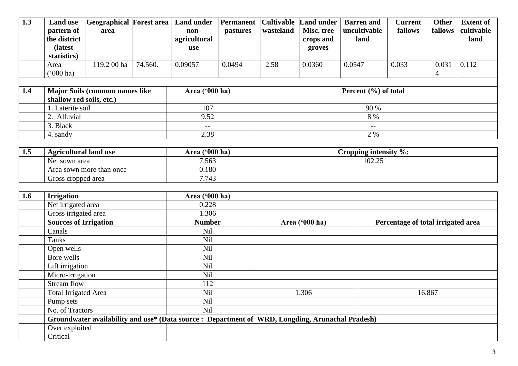| 1.3 | <b>Land use</b><br>pattern of<br>the district<br>(latest) | Geographical Forest area<br>area       |         | <b>Land under</b><br>non-<br>agricultural<br>use | Permanent<br><i>pastures</i> | <b>Cultivable</b><br>wasteland | <b>Land under</b><br>Misc. tree<br>crops and<br>groves | <b>Barren</b> and<br>uncultivable<br>land | <b>Current</b><br>fallows | <b>Other</b><br>fallows | <b>Extent of</b><br>cultivable<br>land |
|-----|-----------------------------------------------------------|----------------------------------------|---------|--------------------------------------------------|------------------------------|--------------------------------|--------------------------------------------------------|-------------------------------------------|---------------------------|-------------------------|----------------------------------------|
|     | statistics)                                               |                                        |         |                                                  |                              |                                |                                                        |                                           |                           |                         |                                        |
|     | Area<br>$^{\circ}000$ ha)                                 | 119.2 00 ha                            | 74.560. | 0.09057                                          | 0.0494                       | 2.58                           | 0.0360                                                 | 0.0547                                    | 0.033                     | 0.031<br>4              | 0.112                                  |
|     |                                                           |                                        |         |                                                  |                              |                                |                                                        |                                           |                           |                         |                                        |
| 1.4 |                                                           | <b>Major Soils (common names like)</b> |         | Area $(900 \text{ ha})$                          |                              |                                |                                                        | Percent $(\% )$ of total                  |                           |                         |                                        |
|     | shallow red soils, etc.)                                  |                                        |         |                                                  |                              |                                |                                                        |                                           |                           |                         |                                        |
|     | 1. Laterite soil                                          |                                        |         | 107                                              |                              | 90 %                           |                                                        |                                           |                           |                         |                                        |
|     | 2. Alluvial                                               |                                        |         | 9.52                                             |                              |                                |                                                        | 8 %                                       |                           |                         |                                        |
|     | 3. Black                                                  |                                        |         | $- -$                                            |                              |                                |                                                        | $--$                                      |                           |                         |                                        |
|     | 4. sandy                                                  |                                        |         | 2.38                                             |                              | 2 %                            |                                                        |                                           |                           |                         |                                        |

| 1.5 | <b>Agricultural land use</b> | $(600 \text{ ha})$<br>Area | Cropping intensity $\%$ : |
|-----|------------------------------|----------------------------|---------------------------|
|     | <b>Net</b><br>t sown area    | .563                       | 102.25<br>ب2.5 تار        |
|     | Area sown more than once     | 0.180                      |                           |
|     | Gross cropped area           | 7.743                      |                           |

| 1.6 | <b>Irrigation</b>                                                                               | Area ('000 ha) |                |                                    |
|-----|-------------------------------------------------------------------------------------------------|----------------|----------------|------------------------------------|
|     | Net irrigated area                                                                              | 0.228          |                |                                    |
|     | Gross irrigated area                                                                            | 1.306          |                |                                    |
|     | <b>Sources of Irrigation</b>                                                                    | <b>Number</b>  | Area ('000 ha) | Percentage of total irrigated area |
|     | Canals                                                                                          | Nil            |                |                                    |
|     | Tanks                                                                                           | Nil            |                |                                    |
|     | Open wells                                                                                      | <b>Nil</b>     |                |                                    |
|     | Bore wells                                                                                      | <b>Nil</b>     |                |                                    |
|     | Lift irrigation                                                                                 | Nil            |                |                                    |
|     | Micro-irrigation                                                                                | Nil            |                |                                    |
|     | Stream flow                                                                                     | 112            |                |                                    |
|     | <b>Total Irrigated Area</b>                                                                     | Nil            | 1.306          | 16.867                             |
|     | Pump sets                                                                                       | <b>Nil</b>     |                |                                    |
|     | No. of Tractors                                                                                 | Nil            |                |                                    |
|     | Groundwater availability and use* (Data source: Department of WRD, Longding, Arunachal Pradesh) |                |                |                                    |
|     | Over exploited                                                                                  |                |                |                                    |
|     | Critical                                                                                        |                |                |                                    |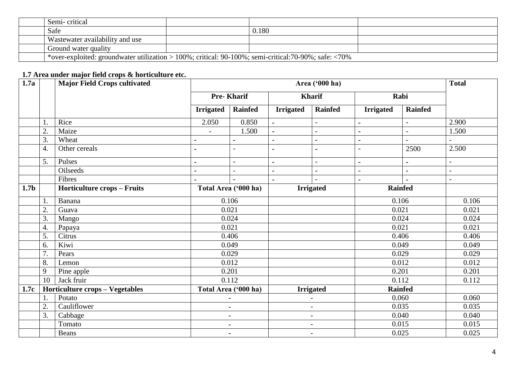| Semi-critical                                                                                             |       |  |
|-----------------------------------------------------------------------------------------------------------|-------|--|
| Safe                                                                                                      | 0.180 |  |
| Wastewater availability and use                                                                           |       |  |
| Ground water quality                                                                                      |       |  |
| *over-exploited: groundwater utilization > 100%; critical: $90-100\%$ ; semi-critical: 70-90%; safe: <70% |       |  |

# **1.7 Area under major field crops & horticulture etc.**

| 1.7a             |    | <b>Major Field Crops cultivated</b>    |                          | Area ('000 ha)           |                          |                          |                          |                |                |  |
|------------------|----|----------------------------------------|--------------------------|--------------------------|--------------------------|--------------------------|--------------------------|----------------|----------------|--|
|                  |    |                                        |                          | <b>Pre-Kharif</b>        |                          | <b>Kharif</b>            |                          | Rabi           |                |  |
|                  |    |                                        | <b>Irrigated</b>         | <b>Rainfed</b>           | <b>Irrigated</b>         | <b>Rainfed</b>           | <b>Irrigated</b>         | <b>Rainfed</b> |                |  |
|                  | 1. | Rice                                   | 2.050                    | 0.850                    | $\blacksquare$           | $\overline{a}$           | $\blacksquare$           |                | 2.900          |  |
|                  | 2. | Maize                                  | $\overline{\phantom{a}}$ | 1.500                    |                          | $\overline{\phantom{a}}$ |                          |                | 1.500          |  |
|                  | 3. | Wheat                                  |                          |                          |                          | $\blacksquare$           |                          |                |                |  |
|                  | 4. | Other cereals                          |                          | $\overline{\phantom{a}}$ |                          | ä,                       | $\overline{\phantom{a}}$ | 2500           | 2.500          |  |
|                  | 5. | Pulses                                 | $\blacksquare$           | $\overline{a}$           |                          | $\overline{a}$           |                          | $\blacksquare$ | $\overline{a}$ |  |
|                  |    | Oilseeds                               |                          | $\overline{a}$           |                          | $\blacksquare$           | $\overline{\phantom{a}}$ | $\blacksquare$ | $\overline{a}$ |  |
|                  |    | Fibres                                 |                          |                          |                          |                          | $\blacksquare$           |                | $\overline{a}$ |  |
| 1.7 <sub>b</sub> |    | <b>Horticulture crops - Fruits</b>     | Total Area ('000 ha)     |                          | <b>Irrigated</b>         |                          |                          | <b>Rainfed</b> |                |  |
|                  | 1. | Banana                                 |                          | 0.106                    |                          |                          |                          | 0.106          |                |  |
|                  | 2. | Guava                                  |                          | 0.021                    |                          |                          | 0.021                    |                | 0.021          |  |
|                  | 3. | Mango                                  |                          | 0.024                    |                          |                          | 0.024                    |                | 0.024          |  |
|                  | 4. | Papaya                                 |                          | 0.021                    |                          |                          | 0.021                    |                | 0.021          |  |
|                  | 5. | Citrus                                 |                          | 0.406                    |                          |                          | 0.406                    |                | 0.406          |  |
|                  | 6. | Kiwi                                   |                          | 0.049                    |                          |                          |                          | 0.049          | 0.049          |  |
|                  | 7. | Pears                                  |                          | 0.029                    |                          |                          |                          | 0.029          | 0.029          |  |
|                  | 8. | Lemon                                  |                          | 0.012                    |                          |                          |                          | 0.012          | 0.012          |  |
|                  | 9  | Pine apple                             |                          | 0.201                    |                          |                          |                          | 0.201          | 0.201          |  |
|                  | 10 | Jack fruir                             |                          | 0.112                    |                          |                          |                          | 0.112          | 0.112          |  |
| 1.7c             |    | <b>Horticulture crops - Vegetables</b> |                          | Total Area ('000 ha)     |                          | <b>Irrigated</b>         |                          | <b>Rainfed</b> |                |  |
|                  | 1. | Potato                                 |                          |                          |                          | $\overline{\phantom{0}}$ |                          | 0.060          | 0.060          |  |
|                  | 2. | Cauliflower                            |                          | $\blacksquare$           |                          | $\overline{\phantom{a}}$ |                          | 0.035          | 0.035          |  |
|                  | 3. | Cabbage                                |                          | $\blacksquare$           |                          | $\overline{\phantom{a}}$ |                          | 0.040          | 0.040<br>0.015 |  |
|                  |    | Tomato                                 |                          | $\blacksquare$           |                          | $\overline{\phantom{a}}$ |                          | 0.015          |                |  |
|                  |    | Beans                                  |                          | $\blacksquare$           | $\overline{\phantom{a}}$ |                          |                          | 0.025          | 0.025          |  |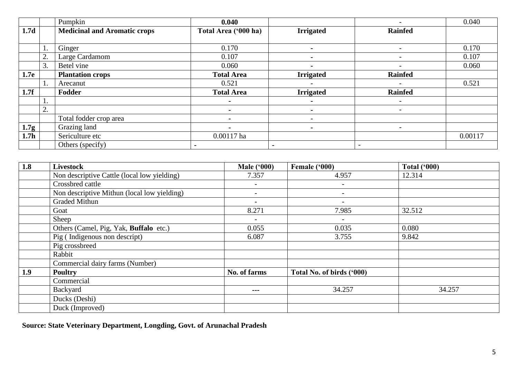|                  |    | Pumpkin                             | 0.040                |                  | $\qquad \qquad$          | 0.040   |
|------------------|----|-------------------------------------|----------------------|------------------|--------------------------|---------|
| 1.7d             |    | <b>Medicinal and Aromatic crops</b> | Total Area ('000 ha) | <b>Irrigated</b> | <b>Rainfed</b>           |         |
|                  |    |                                     |                      |                  |                          |         |
|                  | ī. | Ginger                              | 0.170                | $\blacksquare$   | $\qquad \qquad$          | 0.170   |
|                  | 2. | Large Cardamom                      | 0.107                |                  | $\overline{\phantom{0}}$ | 0.107   |
|                  | 3. | Betel vine                          | 0.060                |                  |                          | 0.060   |
| 1.7e             |    | <b>Plantation crops</b>             | <b>Total Area</b>    | <b>Irrigated</b> | <b>Rainfed</b>           |         |
|                  | ī. | Arecanut                            | 0.521                |                  |                          | 0.521   |
| 1.7f             |    | Fodder                              | <b>Total Area</b>    | <b>Irrigated</b> | <b>Rainfed</b>           |         |
|                  | 1. |                                     | $\blacksquare$       |                  | $\qquad \qquad -$        |         |
|                  | 2. |                                     |                      |                  | $\qquad \qquad$          |         |
|                  |    | Total fodder crop area              |                      |                  |                          |         |
| 1.7g             |    | Grazing land                        | $\blacksquare$       |                  | $\qquad \qquad$          |         |
| 1.7 <sub>h</sub> |    | Sericulture etc                     | 0.00117 ha           |                  |                          | 0.00117 |
|                  |    | Others (specify)                    |                      |                  | $\overline{\phantom{0}}$ |         |

| 1.8 | <b>Livestock</b>                            | <b>Male ('000)</b>       | Female ('000)             | <b>Total ('000)</b> |
|-----|---------------------------------------------|--------------------------|---------------------------|---------------------|
|     | Non descriptive Cattle (local low yielding) | 7.357                    | 4.957                     | 12.314              |
|     | Crossbred cattle                            |                          | $\overline{\phantom{a}}$  |                     |
|     | Non descriptive Mithun (local low yielding) |                          | $\overline{\phantom{a}}$  |                     |
|     | <b>Graded Mithun</b>                        |                          | $\overline{\phantom{a}}$  |                     |
|     | Goat                                        | 8.271                    | 7.985                     | 32.512              |
|     | Sheep                                       | $\overline{\phantom{a}}$ | $\sim$                    |                     |
|     | Others (Camel, Pig, Yak, Buffalo etc.)      | 0.055                    | 0.035                     | 0.080               |
|     | Pig (Indigenous non descript)               | 6.087                    | 3.755                     | 9.842               |
|     | Pig crossbreed                              |                          |                           |                     |
|     | Rabbit                                      |                          |                           |                     |
|     | Commercial dairy farms (Number)             |                          |                           |                     |
| 1.9 | <b>Poultry</b>                              | No. of farms             | Total No. of birds ('000) |                     |
|     | Commercial                                  |                          |                           |                     |
|     | Backyard                                    | $- - -$                  | 34.257                    | 34.257              |
|     | Ducks (Deshi)                               |                          |                           |                     |
|     | Duck (Improved)                             |                          |                           |                     |

**Source: State Veterinary Department, Longding, Govt. of Arunachal Pradesh**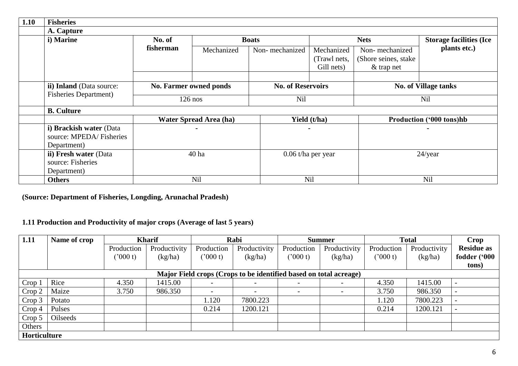| 1.10 | <b>Fisheries</b>                                                  |           |                               |                |                                          |                                                         |                                |  |
|------|-------------------------------------------------------------------|-----------|-------------------------------|----------------|------------------------------------------|---------------------------------------------------------|--------------------------------|--|
|      | A. Capture                                                        |           |                               |                |                                          |                                                         |                                |  |
|      | i) Marine                                                         | No. of    |                               | <b>Boats</b>   |                                          |                                                         | <b>Storage facilities (Ice</b> |  |
|      |                                                                   | fisherman | Mechanized                    | Non-mechanized | Mechanized<br>(Trawl nets,<br>Gill nets) | Non-mechanized<br>(Shore seines, stake)<br>$&$ trap net | plants etc.)                   |  |
|      |                                                                   |           |                               |                |                                          |                                                         |                                |  |
|      | ii) Inland (Data source:                                          |           | No. Farmer owned ponds        |                | <b>No. of Reservoirs</b>                 |                                                         | <b>No. of Village tanks</b>    |  |
|      | <b>Fisheries Department</b> )                                     | $126$ nos |                               | Nil            |                                          |                                                         | <b>Nil</b>                     |  |
|      | <b>B.</b> Culture                                                 |           |                               |                |                                          |                                                         |                                |  |
|      |                                                                   |           | <b>Water Spread Area (ha)</b> | Yield (t/ha)   |                                          | Production ('000 tons)hb                                |                                |  |
|      | i) Brackish water (Data<br>source: MPEDA/Fisheries<br>Department) |           |                               |                | $\blacksquare$                           |                                                         |                                |  |
|      | ii) Fresh water (Data<br>source: Fisheries<br>Department)         |           | 40 ha                         |                | 0.06 t/ha per year                       |                                                         | $24$ /year                     |  |
|      | <b>Others</b>                                                     |           | <b>Nil</b>                    |                | Nil                                      |                                                         | Nil                            |  |

**(Source: Department of Fisheries, Longding, Arunachal Pradesh)**

#### **1.11 Production and Productivity of major crops (Average of last 5 years)**

| 1.11         | Name of crop | <b>Kharif</b> |              |                          | Rabi                                                              | <b>Summer</b>            |                          | <b>Total</b> |              | Crop              |
|--------------|--------------|---------------|--------------|--------------------------|-------------------------------------------------------------------|--------------------------|--------------------------|--------------|--------------|-------------------|
|              |              | Production    | Productivity | Production               | Productivity                                                      | Production               | Productivity             | Production   | Productivity | <b>Residue as</b> |
|              |              | (2000 t)      | (kg/ha)      | (2000 t)                 | (kg/ha)                                                           | (2000 t)                 | (kg/ha)                  | ('000 t)     | (kg/ha)      | fodder ('000      |
|              |              |               |              |                          |                                                                   |                          |                          |              |              | tons)             |
|              |              |               |              |                          | Major Field crops (Crops to be identified based on total acreage) |                          |                          |              |              |                   |
| Crop 1       | Rice         | 4.350         | 1415.00      |                          |                                                                   | $\overline{\phantom{a}}$ | $\overline{\phantom{0}}$ | 4.350        | 1415.00      |                   |
| Crop 2       | Maize        | 3.750         | 986.350      | $\overline{\phantom{0}}$ |                                                                   | $\overline{\phantom{a}}$ | $\overline{\phantom{a}}$ | 3.750        | 986.350      |                   |
| Crop 3       | Potato       |               |              | 1.120                    | 7800.223                                                          |                          |                          | 1.120        | 7800.223     |                   |
| Crop 4       | Pulses       |               |              | 0.214                    | 1200.121                                                          |                          |                          | 0.214        | 1200.121     |                   |
| Crop 5       | Oilseeds     |               |              |                          |                                                                   |                          |                          |              |              |                   |
| Others       |              |               |              |                          |                                                                   |                          |                          |              |              |                   |
| Horticulture |              |               |              |                          |                                                                   |                          |                          |              |              |                   |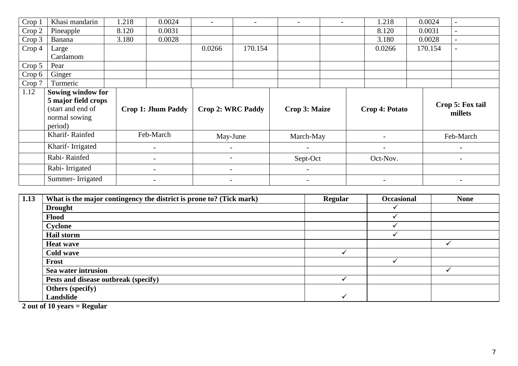| Crop 1 | Khasi mandarin      | 1.218 | 0.0024                    | $\overline{\phantom{a}}$ |         | $\overline{\phantom{a}}$ | $\overline{\phantom{a}}$ | 1.218                    | 0.0024 |         |                          |
|--------|---------------------|-------|---------------------------|--------------------------|---------|--------------------------|--------------------------|--------------------------|--------|---------|--------------------------|
| Crop 2 | Pineapple           | 8.120 | 0.0031                    |                          |         |                          |                          | 8.120                    | 0.0031 |         | $\overline{\phantom{a}}$ |
| Crop 3 | Banana              | 3.180 | 0.0028                    |                          |         |                          |                          | 3.180                    | 0.0028 |         | $-$                      |
| Crop 4 | Large               |       |                           | 0.0266                   | 170.154 |                          |                          | 0.0266                   |        | 170.154 |                          |
|        | Cardamom            |       |                           |                          |         |                          |                          |                          |        |         |                          |
| Crop 5 | Pear                |       |                           |                          |         |                          |                          |                          |        |         |                          |
| Crop 6 | Ginger              |       |                           |                          |         |                          |                          |                          |        |         |                          |
| Crop 7 | Turmeric            |       |                           |                          |         |                          |                          |                          |        |         |                          |
| 1.12   | Sowing window for   |       |                           |                          |         |                          |                          |                          |        |         |                          |
|        | 5 major field crops |       |                           |                          |         |                          |                          |                          |        |         | Crop 5: Fox tail         |
|        | (start and end of   |       | <b>Crop 1: Jhum Paddy</b> | <b>Crop 2: WRC Paddy</b> |         | <b>Crop 3: Maize</b>     |                          | Crop 4: Potato           |        |         | millets                  |
|        | normal sowing       |       |                           |                          |         |                          |                          |                          |        |         |                          |
|        | period)             |       |                           |                          |         |                          |                          |                          |        |         |                          |
|        | Kharif-Rainfed      |       | Feb-March                 | May-June                 |         | March-May                |                          |                          |        |         | Feb-March                |
|        | Kharif-Irrigated    |       | $\overline{a}$            |                          |         |                          |                          | $\overline{\phantom{a}}$ |        |         | $\overline{\phantom{a}}$ |
|        | Rabi-Rainfed        |       |                           |                          |         | Sept-Oct                 |                          | Oct-Nov.                 |        |         |                          |
|        | Rabi-Irrigated      |       |                           |                          |         | $\overline{\phantom{a}}$ |                          |                          |        |         |                          |
|        | Summer-Irrigated    |       | $\overline{\phantom{0}}$  | $\overline{\phantom{a}}$ |         | $\overline{\phantom{a}}$ |                          | $\overline{\phantom{a}}$ |        |         | $\overline{\phantom{a}}$ |

| 1.13 | What is the major contingency the district is prone to? (Tick mark) | Regular | <b>Occasional</b> | <b>None</b> |
|------|---------------------------------------------------------------------|---------|-------------------|-------------|
|      | <b>Drought</b>                                                      |         |                   |             |
|      | Flood                                                               |         |                   |             |
|      | Cyclone                                                             |         |                   |             |
|      | <b>Hail storm</b>                                                   |         |                   |             |
|      | <b>Heat wave</b>                                                    |         |                   |             |
|      | <b>Cold wave</b>                                                    |         |                   |             |
|      | Frost                                                               |         |                   |             |
|      | Sea water intrusion                                                 |         |                   |             |
|      | Pests and disease outbreak (specify)                                |         |                   |             |
|      | <b>Others (specify)</b>                                             |         |                   |             |
|      | Landslide                                                           |         |                   |             |

**2 out of 10 years = Regular**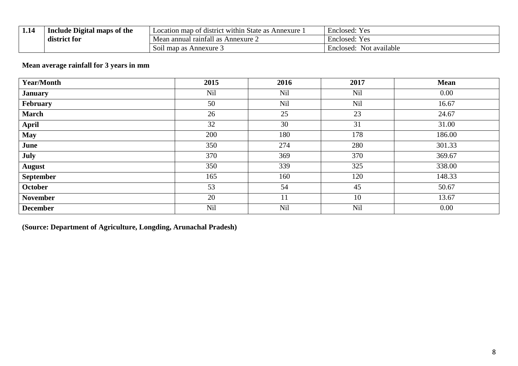| 1,14 | Include Digital maps of the | . within State as .<br>Annexure<br>n map of district<br>Location | $\overline{\phantom{0}}$<br>Enclosed:<br>Y es          |  |
|------|-----------------------------|------------------------------------------------------------------|--------------------------------------------------------|--|
|      | .<br>district for           | Annexure 2<br>Mean annual rainfall<br>- as                       | $\overline{\phantom{0}}$<br>Y es<br>Enclosed:          |  |
|      |                             | $\sim$<br>. map as<br>Annexure 3<br><b>SO11</b>                  | $\overline{\phantom{0}}$<br>Not available<br>Enclosed: |  |

# **Mean average rainfall for 3 years in mm**

| <b>Year/Month</b> | 2015       | 2016       | 2017 | <b>Mean</b> |
|-------------------|------------|------------|------|-------------|
| <b>January</b>    | Nil        | <b>Nil</b> | Nil  | 0.00        |
| February          | 50         | Nil        | Nil  | 16.67       |
| <b>March</b>      | 26         | 25         | 23   | 24.67       |
| <b>April</b>      | 32         | 30         | 31   | 31.00       |
| <b>May</b>        | 200        | 180        | 178  | 186.00      |
| June              | 350        | 274        | 280  | 301.33      |
| July              | 370        | 369        | 370  | 369.67      |
| <b>August</b>     | 350        | 339        | 325  | 338.00      |
| <b>September</b>  | 165        | 160        | 120  | 148.33      |
| October           | 53         | 54         | 45   | 50.67       |
| <b>November</b>   | 20         | 11         | 10   | 13.67       |
| <b>December</b>   | <b>Nil</b> | <b>Nil</b> | Nil  | 0.00        |

**(Source: Department of Agriculture, Longding, Arunachal Pradesh)**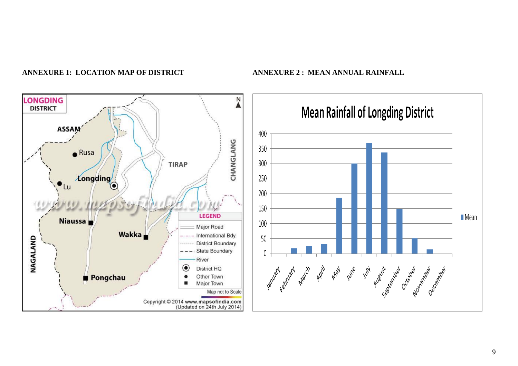

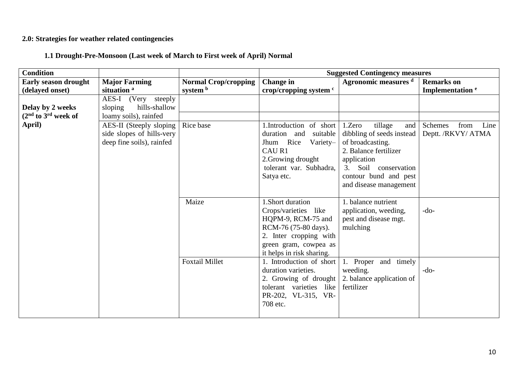#### **2.0: Strategies for weather related contingencies**

**1.1 Drought-Pre-Monsoon (Last week of March to First week of April) Normal**

| <b>Condition</b>            |                                                                                   |                             | <b>Suggested Contingency measures</b>                                                                                                                                  |                                                                                                                                                                                              |                                               |  |
|-----------------------------|-----------------------------------------------------------------------------------|-----------------------------|------------------------------------------------------------------------------------------------------------------------------------------------------------------------|----------------------------------------------------------------------------------------------------------------------------------------------------------------------------------------------|-----------------------------------------------|--|
| <b>Early season drought</b> | <b>Major Farming</b>                                                              | <b>Normal Crop/cropping</b> | <b>Change</b> in                                                                                                                                                       | Agronomic measures d                                                                                                                                                                         | <b>Remarks</b> on                             |  |
| (delayed onset)             | situation <sup>a</sup>                                                            | system b                    | crop/cropping system c                                                                                                                                                 |                                                                                                                                                                                              | Implementation <sup>e</sup>                   |  |
|                             | AES-I (Very steeply                                                               |                             |                                                                                                                                                                        |                                                                                                                                                                                              |                                               |  |
| Delay by 2 weeks            | sloping<br>hills-shallow                                                          |                             |                                                                                                                                                                        |                                                                                                                                                                                              |                                               |  |
| $(2nd$ to $3rd$ week of     | loamy soils), rainfed                                                             |                             |                                                                                                                                                                        |                                                                                                                                                                                              |                                               |  |
| April)                      | AES-II (Steeply sloping<br>side slopes of hills-very<br>deep fine soils), rainfed | Rice base                   | 1.Introduction of short<br>duration and<br>suitable<br>Jhum Rice<br>Variety-<br>CAU R1<br>2. Growing drought<br>tolerant var. Subhadra,<br>Satya etc.                  | 1.Zero<br>tillage<br>and<br>dibbling of seeds instead<br>of broadcasting.<br>2. Balance fertilizer<br>application<br>3. Soil conservation<br>contour bund and pest<br>and disease management | Line<br>Schemes<br>from<br>Deptt. /RKVY/ ATMA |  |
|                             |                                                                                   | Maize                       | 1.Short duration<br>Crops/varieties like<br>HQPM-9, RCM-75 and<br>RCM-76 (75-80 days).<br>2. Inter cropping with<br>green gram, cowpea as<br>it helps in risk sharing. | 1. balance nutrient<br>application, weeding,<br>pest and disease mgt.<br>mulching                                                                                                            | $-do-$                                        |  |
|                             |                                                                                   | <b>Foxtail Millet</b>       | 1. Introduction of short<br>duration varieties.<br>2. Growing of drought<br>tolerant varieties like<br>PR-202, VL-315, VR-<br>708 etc.                                 | 1. Proper and timely<br>weeding.<br>2. balance application of<br>fertilizer                                                                                                                  | $-do-$                                        |  |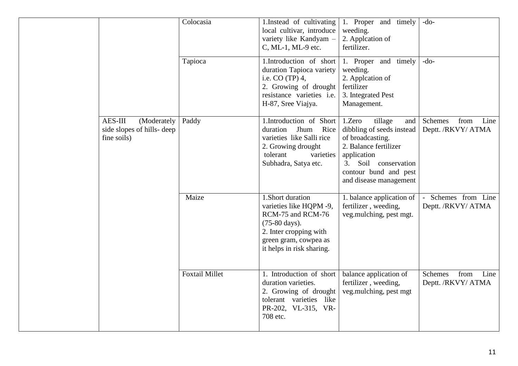|                                                                     | Colocasia             | 1. Instead of cultivating<br>local cultivar, introduce<br>variety like Kandyam -<br>C, ML-1, ML-9 etc.                                                                      | 1. Proper and timely<br>weeding.<br>2. Appleation of<br>fertilizer.                                                                                                                            | $-do-$                                               |
|---------------------------------------------------------------------|-----------------------|-----------------------------------------------------------------------------------------------------------------------------------------------------------------------------|------------------------------------------------------------------------------------------------------------------------------------------------------------------------------------------------|------------------------------------------------------|
|                                                                     | Tapioca               | 1.Introduction of short<br>duration Tapioca variety<br>i.e. $CO(TP)$ 4,<br>2. Growing of drought<br>resistance varieties i.e.<br>H-87, Sree Viajya.                         | 1. Proper and timely<br>weeding.<br>2. Appleation of<br>fertilizer<br>3. Integrated Pest<br>Management.                                                                                        | $-do-$                                               |
| AES-III<br>(Moderately<br>side slopes of hills- deep<br>fine soils) | Paddy                 | 1. Introduction of Short<br>Rice<br>duration<br>Jhum<br>varieties like Salli rice<br>2. Growing drought<br>tolerant<br>varieties<br>Subhadra, Satya etc.                    | 1.Zero<br>tillage<br>and  <br>dibbling of seeds instead<br>of broadcasting.<br>2. Balance fertilizer<br>application<br>3. Soil conservation<br>contour bund and pest<br>and disease management | Schemes<br>from<br>Line<br>Deptt. /RKVY/ ATMA        |
|                                                                     | Maize                 | 1.Short duration<br>varieties like HQPM -9,<br>RCM-75 and RCM-76<br>$(75-80 \text{ days}).$<br>2. Inter cropping with<br>green gram, cowpea as<br>it helps in risk sharing. | 1. balance application of<br>fertilizer, weeding,<br>veg.mulching, pest mgt.                                                                                                                   | Schemes from Line<br>Deptt. /RKVY/ ATMA              |
|                                                                     | <b>Foxtail Millet</b> | 1. Introduction of short<br>duration varieties.<br>2. Growing of drought<br>tolerant varieties like<br>PR-202, VL-315, VR-<br>708 etc.                                      | balance application of<br>fertilizer, weeding,<br>veg.mulching, pest mgt                                                                                                                       | from<br><b>Schemes</b><br>Line<br>Deptt. /RKVY/ ATMA |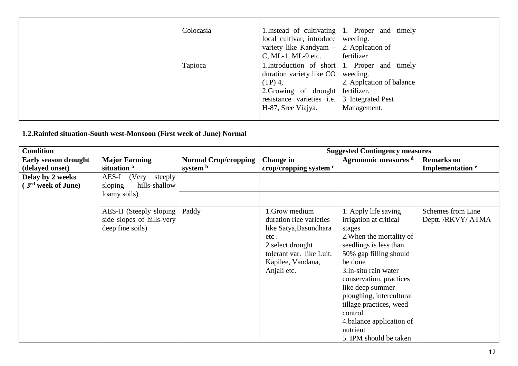| Colocasia | local cultivar, introduce weeding.<br>variety like Kandyam $-$ 2. Appleation of<br>C, ML-1, ML-9 etc. | 1. Instead of cultivating $\vert$ 1. Proper and timely<br>fertilizer |  |
|-----------|-------------------------------------------------------------------------------------------------------|----------------------------------------------------------------------|--|
| Tapioca   |                                                                                                       | 1. Introduction of short 1. Proper and timely                        |  |
|           | duration variety like CO weeding.<br>$(TP)$ 4,                                                        | 2. Appleation of balance                                             |  |
|           | 2. Growing of drought fertilizer.                                                                     |                                                                      |  |
|           | resistance varieties i.e. 3. Integrated Pest                                                          |                                                                      |  |
|           | H-87, Sree Viajya.                                                                                    | Management.                                                          |  |

# **1.2.Rainfed situation-South west-Monsoon (First week of June) Normal**

| <b>Condition</b>              |                           |                             | <b>Suggested Contingency measures</b> |                          |                             |  |
|-------------------------------|---------------------------|-----------------------------|---------------------------------------|--------------------------|-----------------------------|--|
| <b>Early season drought</b>   | <b>Major Farming</b>      | <b>Normal Crop/cropping</b> | Change in                             | Agronomic measures d     | <b>Remarks</b> on           |  |
| (delayed onset)               | situation <sup>a</sup>    | system b                    | crop/cropping system $\degree$        |                          | Implementation <sup>e</sup> |  |
| Delay by 2 weeks              | AES-I<br>(Very<br>steeply |                             |                                       |                          |                             |  |
| 3 <sup>rd</sup> week of June) | hills-shallow<br>sloping  |                             |                                       |                          |                             |  |
|                               | loamy soils)              |                             |                                       |                          |                             |  |
|                               |                           |                             |                                       |                          |                             |  |
|                               | AES-II (Steeply sloping)  | Paddy                       | 1. Grow medium                        | 1. Apply life saving     | Schemes from Line           |  |
|                               | side slopes of hills-very |                             | duration rice varieties               | irrigation at critical   | Deptt. /RKVY/ ATMA          |  |
|                               | deep fine soils)          |                             | like Satya, Basundhara                | stages                   |                             |  |
|                               |                           |                             | etc.                                  | 2. When the mortality of |                             |  |
|                               |                           |                             | 2. select drought                     | seedlings is less than   |                             |  |
|                               |                           |                             | tolerant var. like Luit,              | 50% gap filling should   |                             |  |
|                               |                           |                             | Kapilee, Vandana,                     | be done                  |                             |  |
|                               |                           |                             | Anjali etc.                           | 3. In-situ rain water    |                             |  |
|                               |                           |                             |                                       | conservation, practices  |                             |  |
|                               |                           |                             |                                       | like deep summer         |                             |  |
|                               |                           |                             |                                       | ploughing, intercultural |                             |  |
|                               |                           |                             |                                       | tillage practices, weed  |                             |  |
|                               |                           |                             |                                       | control                  |                             |  |
|                               |                           |                             |                                       | 4.balance application of |                             |  |
|                               |                           |                             |                                       | nutrient                 |                             |  |
|                               |                           |                             |                                       | 5. IPM should be taken   |                             |  |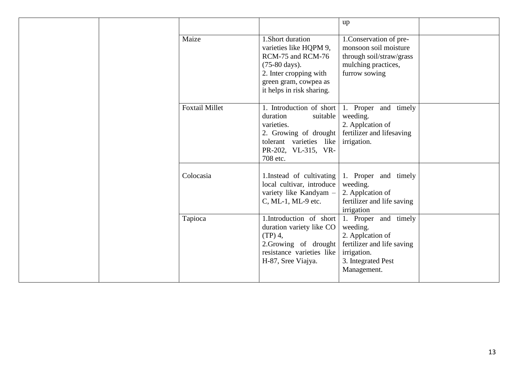|  |  |                       |                                                                                                                                                                            | up                                                                                                                                     |  |
|--|--|-----------------------|----------------------------------------------------------------------------------------------------------------------------------------------------------------------------|----------------------------------------------------------------------------------------------------------------------------------------|--|
|  |  | Maize                 | 1.Short duration<br>varieties like HQPM 9,<br>RCM-75 and RCM-76<br>$(75-80 \text{ days}).$<br>2. Inter cropping with<br>green gram, cowpea as<br>it helps in risk sharing. | 1. Conservation of pre-<br>monsoon soil moisture<br>through soil/straw/grass<br>mulching practices,<br>furrow sowing                   |  |
|  |  | <b>Foxtail Millet</b> | suitable<br>duration<br>varieties.<br>2. Growing of drought<br>tolerant varieties like<br>PR-202, VL-315, VR-<br>708 etc.                                                  | 1. Introduction of short $\vert$ 1. Proper and timely<br>weeding.<br>2. Appleation of<br>fertilizer and lifesaving<br>irrigation.      |  |
|  |  | Colocasia             | 1. Instead of cultivating<br>local cultivar, introduce<br>variety like Kandyam -<br>C, ML-1, ML-9 etc.                                                                     | 1. Proper and timely<br>weeding.<br>2. Appleation of<br>fertilizer and life saving<br>irrigation                                       |  |
|  |  | Tapioca               | 1.Introduction of short<br>duration variety like CO<br>$(TP)$ 4,<br>2.Growing of drought<br>resistance varieties like<br>H-87, Sree Viajya.                                | 1. Proper and timely<br>weeding.<br>2. Appleation of<br>fertilizer and life saving<br>irrigation.<br>3. Integrated Pest<br>Management. |  |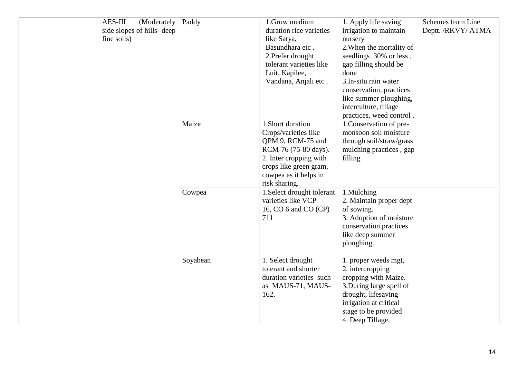| <b>AES-III</b><br>(Moderately<br>side slopes of hills- deep<br>fine soils) | Paddy    | 1.Grow medium<br>duration rice varieties<br>like Satya,<br>Basundhara etc.<br>2. Prefer drought<br>tolerant varieties like<br>Luit, Kapilee,<br>Vandana, Anjali etc.                | 1. Apply life saving<br>irrigation to maintain<br>nursery<br>2. When the mortality of<br>seedlings 30% or less,<br>gap filling should be<br>done<br>3. In-situ rain water<br>conservation, practices<br>like summer ploughing,<br>interculture, tillage<br>practices, weed control. | Schemes from Line<br>Deptt. /RKVY/ ATMA |
|----------------------------------------------------------------------------|----------|-------------------------------------------------------------------------------------------------------------------------------------------------------------------------------------|-------------------------------------------------------------------------------------------------------------------------------------------------------------------------------------------------------------------------------------------------------------------------------------|-----------------------------------------|
|                                                                            | Maize    | 1.Short duration<br>Crops/varieties like<br>QPM 9, RCM-75 and<br>RCM-76 (75-80 days).<br>2. Inter cropping with<br>crops like green gram,<br>cowpea as it helps in<br>risk sharing. | 1. Conservation of pre-<br>monsoon soil moisture<br>through soil/straw/grass<br>mulching practices, gap<br>filling                                                                                                                                                                  |                                         |
|                                                                            | Cowpea   | 1. Select drought tolerant<br>varieties like VCP<br>16, CO 6 and CO (CP)<br>711                                                                                                     | 1.Mulching<br>2. Maintain proper dept<br>of sowing.<br>3. Adoption of moisture<br>conservation practices<br>like deep summer<br>ploughing.                                                                                                                                          |                                         |
|                                                                            | Soyabean | 1. Select drought<br>tolerant and shorter<br>duration varieties such<br>as MAUS-71, MAUS-<br>162.                                                                                   | 1. proper weeds mgt,<br>2. intercropping<br>cropping with Maize.<br>3. During large spell of<br>drought, lifesaving<br>irrigation at critical<br>stage to be provided<br>4. Deep Tillage.                                                                                           |                                         |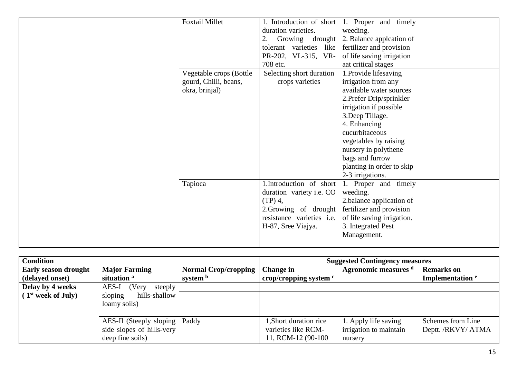| <b>Foxtail Millet</b>   | 1. Introduction of short  | 1. Proper and timely       |  |
|-------------------------|---------------------------|----------------------------|--|
|                         | duration varieties.       | weeding.                   |  |
|                         | 2. Growing drought        | 2. Balance application of  |  |
|                         | tolerant varieties like   | fertilizer and provision   |  |
|                         | PR-202, VL-315, VR-       | of life saving irrigation  |  |
|                         | 708 etc.                  | aat critical stages        |  |
| Vegetable crops (Bottle | Selecting short duration  | 1. Provide lifesaving      |  |
| gourd, Chilli, beans,   | crops varieties           | irrigation from any        |  |
| okra, brinjal)          |                           | available water sources    |  |
|                         |                           | 2. Prefer Drip/sprinkler   |  |
|                         |                           | irrigation if possible     |  |
|                         |                           | 3. Deep Tillage.           |  |
|                         |                           | 4. Enhancing               |  |
|                         |                           | cucurbitaceous             |  |
|                         |                           | vegetables by raising      |  |
|                         |                           | nursery in polythene       |  |
|                         |                           | bags and furrow            |  |
|                         |                           | planting in order to skip  |  |
|                         |                           | 2-3 irrigations.           |  |
| Tapioca                 | 1.Introduction of short   | 1. Proper and timely       |  |
|                         | duration variety i.e. CO  | weeding.                   |  |
|                         | $(TP)$ 4,                 | 2.balance application of   |  |
|                         | 2. Growing of drought     | fertilizer and provision   |  |
|                         | resistance varieties i.e. | of life saving irrigation. |  |
|                         | H-87, Sree Viajya.        | 3. Integrated Pest         |  |
|                         |                           | Management.                |  |
|                         |                           |                            |  |

| <b>Condition</b>               |                                 |                             | <b>Suggested Contingency measures</b> |                        |                             |
|--------------------------------|---------------------------------|-----------------------------|---------------------------------------|------------------------|-----------------------------|
| <b>Early season drought</b>    | <b>Major Farming</b>            | <b>Normal Crop/cropping</b> | Change in                             | Agronomic measures d   | <b>Remarks</b> on           |
| (delayed onset)                | situation <sup>a</sup>          | system b                    | crop/cropping system $\degree$        |                        | Implementation <sup>e</sup> |
| Delay by 4 weeks               | AES-I<br>(Very<br>steeply       |                             |                                       |                        |                             |
| (1 <sup>st</sup> week of July) | sloping<br>hills-shallow        |                             |                                       |                        |                             |
|                                | loamy soils)                    |                             |                                       |                        |                             |
|                                |                                 |                             |                                       |                        |                             |
|                                | AES-II (Steeply sloping   Paddy |                             | 1, Short duration rice                | 1. Apply life saving   | Schemes from Line           |
|                                | side slopes of hills-very       |                             | varieties like RCM-                   | irrigation to maintain | Deptt. /RKVY/ ATMA          |
|                                | deep fine soils)                |                             | 11, RCM-12 (90-100)                   | nursery                |                             |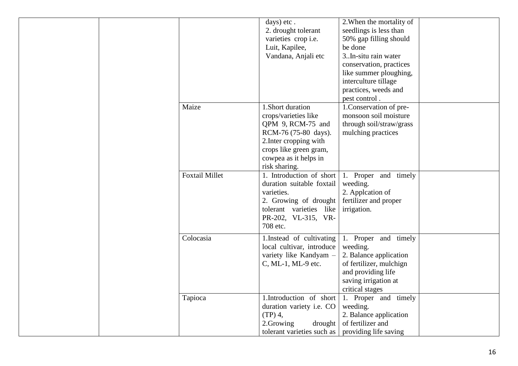|  |                       | days) etc.<br>2. drought tolerant<br>varieties crop i.e.<br>Luit, Kapilee,<br>Vandana, Anjali etc                                                                                   | 2. When the mortality of<br>seedlings is less than<br>50% gap filling should<br>be done<br>3. In-situ rain water<br>conservation, practices<br>like summer ploughing, |  |
|--|-----------------------|-------------------------------------------------------------------------------------------------------------------------------------------------------------------------------------|-----------------------------------------------------------------------------------------------------------------------------------------------------------------------|--|
|  |                       |                                                                                                                                                                                     | interculture tillage<br>practices, weeds and<br>pest control.                                                                                                         |  |
|  | Maize                 | 1.Short duration<br>crops/varieties like<br>QPM 9, RCM-75 and<br>RCM-76 (75-80 days).<br>2. Inter cropping with<br>crops like green gram,<br>cowpea as it helps in<br>risk sharing. | 1. Conservation of pre-<br>monsoon soil moisture<br>through soil/straw/grass<br>mulching practices                                                                    |  |
|  | <b>Foxtail Millet</b> | 1. Introduction of short<br>duration suitable foxtail<br>varieties.<br>2. Growing of drought<br>tolerant varieties like<br>PR-202, VL-315, VR-<br>708 etc.                          | 1. Proper and timely<br>weeding.<br>2. Appleation of<br>fertilizer and proper<br>irrigation.                                                                          |  |
|  | Colocasia             | 1. Instead of cultivating<br>local cultivar, introduce<br>variety like Kandyam -<br>C, ML-1, ML-9 etc.                                                                              | 1. Proper and timely<br>weeding.<br>2. Balance application<br>of fertilizer, mulchign<br>and providing life<br>saving irrigation at<br>critical stages                |  |
|  | Tapioca               | 1.Introduction of short<br>duration variety i.e. CO<br>$(TP)$ 4,<br>2.Growing<br>drought<br>tolerant varieties such as providing life saving                                        | 1. Proper and timely<br>weeding.<br>2. Balance application<br>of fertilizer and                                                                                       |  |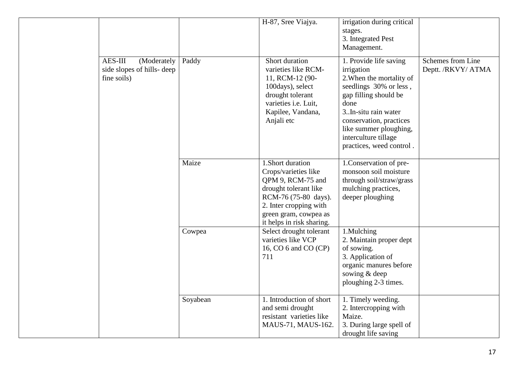|                                                                     |          | H-87, Sree Viajya.                                                                                                                                                                             | irrigation during critical<br>stages.<br>3. Integrated Pest<br>Management.                                                                                                                                                                                    |                                         |
|---------------------------------------------------------------------|----------|------------------------------------------------------------------------------------------------------------------------------------------------------------------------------------------------|---------------------------------------------------------------------------------------------------------------------------------------------------------------------------------------------------------------------------------------------------------------|-----------------------------------------|
| AES-III<br>(Moderately<br>side slopes of hills- deep<br>fine soils) | Paddy    | Short duration<br>varieties like RCM-<br>11, RCM-12 (90-<br>100days), select<br>drought tolerant<br>varieties i.e. Luit,<br>Kapilee, Vandana,<br>Anjali etc                                    | 1. Provide life saving<br>irrigation<br>2. When the mortality of<br>seedlings 30% or less,<br>gap filling should be<br>done<br>3. In-situ rain water<br>conservation, practices<br>like summer ploughing,<br>interculture tillage<br>practices, weed control. | Schemes from Line<br>Deptt. /RKVY/ ATMA |
|                                                                     | Maize    | 1.Short duration<br>Crops/varieties like<br>QPM 9, RCM-75 and<br>drought tolerant like<br>RCM-76 (75-80 days).<br>2. Inter cropping with<br>green gram, cowpea as<br>it helps in risk sharing. | 1. Conservation of pre-<br>monsoon soil moisture<br>through soil/straw/grass<br>mulching practices,<br>deeper ploughing                                                                                                                                       |                                         |
|                                                                     | Cowpea   | Select drought tolerant<br>varieties like VCP<br>16, CO 6 and CO (CP)<br>711                                                                                                                   | 1.Mulching<br>2. Maintain proper dept<br>of sowing.<br>3. Application of<br>organic manures before<br>sowing & deep<br>ploughing 2-3 times.                                                                                                                   |                                         |
|                                                                     | Soyabean | 1. Introduction of short<br>and semi drought<br>resistant varieties like<br>MAUS-71, MAUS-162.                                                                                                 | 1. Timely weeding.<br>2. Intercropping with<br>Maize.<br>3. During large spell of<br>drought life saving                                                                                                                                                      |                                         |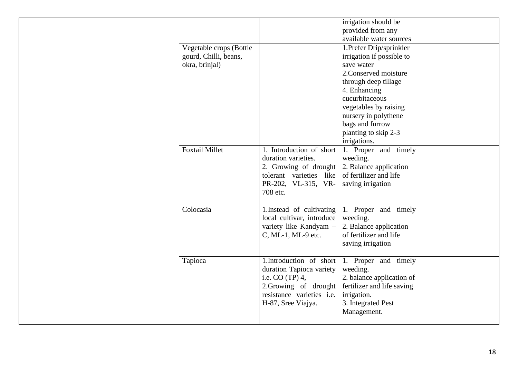|  |                                                                    |                                                                                                                                                           | irrigation should be<br>provided from any<br>available water sources                                                                                                                                    |  |
|--|--------------------------------------------------------------------|-----------------------------------------------------------------------------------------------------------------------------------------------------------|---------------------------------------------------------------------------------------------------------------------------------------------------------------------------------------------------------|--|
|  | Vegetable crops (Bottle<br>gourd, Chilli, beans,<br>okra, brinjal) |                                                                                                                                                           | 1. Prefer Drip/sprinkler<br>irrigation if possible to<br>save water<br>2. Conserved moisture<br>through deep tillage<br>4. Enhancing<br>cucurbitaceous<br>vegetables by raising<br>nursery in polythene |  |
|  |                                                                    |                                                                                                                                                           | bags and furrow<br>planting to skip 2-3<br>irrigations.                                                                                                                                                 |  |
|  | <b>Foxtail Millet</b>                                              | 1. Introduction of short<br>duration varieties.<br>2. Growing of drought<br>tolerant varieties like<br>PR-202, VL-315, VR-<br>708 etc.                    | 1. Proper and timely<br>weeding.<br>2. Balance application<br>of fertilizer and life<br>saving irrigation                                                                                               |  |
|  | Colocasia                                                          | 1. Instead of cultivating<br>local cultivar, introduce<br>variety like Kandyam -<br>C, ML-1, ML-9 etc.                                                    | 1. Proper and timely<br>weeding.<br>2. Balance application<br>of fertilizer and life<br>saving irrigation                                                                                               |  |
|  | Tapioca                                                            | 1.Introduction of short<br>duration Tapioca variety<br>i.e. $CO(TP)$ 4,<br>2.Growing of drought<br>resistance varieties <i>i.e.</i><br>H-87, Sree Viajya. | 1. Proper and timely<br>weeding.<br>2. balance application of<br>fertilizer and life saving<br>irrigation.<br>3. Integrated Pest<br>Management.                                                         |  |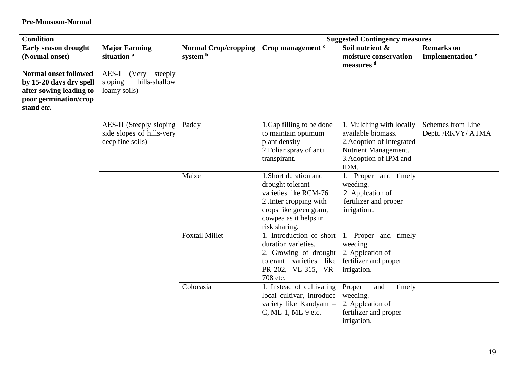| <b>Condition</b>                                                                                                          |                                                                          |                                         |                                                                                                                                                                   | <b>Suggested Contingency measures</b>                                                                                                 |                                                  |
|---------------------------------------------------------------------------------------------------------------------------|--------------------------------------------------------------------------|-----------------------------------------|-------------------------------------------------------------------------------------------------------------------------------------------------------------------|---------------------------------------------------------------------------------------------------------------------------------------|--------------------------------------------------|
| <b>Early season drought</b><br>(Normal onset)                                                                             | <b>Major Farming</b><br>situation <sup>a</sup>                           | <b>Normal Crop/cropping</b><br>system b | Crop management <sup>c</sup>                                                                                                                                      | Soil nutrient &<br>moisture conservation<br>measures <sup>d</sup>                                                                     | <b>Remarks</b> on<br>Implementation <sup>e</sup> |
| <b>Normal onset followed</b><br>by 15-20 days dry spell<br>after sowing leading to<br>poor germination/crop<br>stand etc. | AES-I (Very steeply<br>hills-shallow<br>sloping<br>loamy soils)          |                                         |                                                                                                                                                                   |                                                                                                                                       |                                                  |
|                                                                                                                           | AES-II (Steeply sloping<br>side slopes of hills-very<br>deep fine soils) | Paddy                                   | 1. Gap filling to be done<br>to maintain optimum<br>plant density<br>2. Foliar spray of anti<br>transpirant.                                                      | 1. Mulching with locally<br>available biomass.<br>2. Adoption of Integrated<br>Nutrient Management.<br>3. Adoption of IPM and<br>IDM. | Schemes from Line<br>Deptt. /RKVY/ ATMA          |
|                                                                                                                           |                                                                          | Maize                                   | 1. Short duration and<br>drought tolerant<br>varieties like RCM-76.<br>2. Inter cropping with<br>crops like green gram,<br>cowpea as it helps in<br>risk sharing. | 1. Proper and timely<br>weeding.<br>2. Appleation of<br>fertilizer and proper<br>irrigation                                           |                                                  |
|                                                                                                                           |                                                                          | <b>Foxtail Millet</b>                   | 1. Introduction of short<br>duration varieties.<br>2. Growing of drought<br>tolerant varieties like<br>PR-202, VL-315, VR-<br>708 etc.                            | 1. Proper and timely<br>weeding.<br>2. Appleation of<br>fertilizer and proper<br>irrigation.                                          |                                                  |
|                                                                                                                           |                                                                          | Colocasia                               | 1. Instead of cultivating<br>local cultivar, introduce<br>variety like Kandyam -<br>C, ML-1, ML-9 etc.                                                            | Proper<br>timely<br>and<br>weeding.<br>2. Appleation of<br>fertilizer and proper<br>irrigation.                                       |                                                  |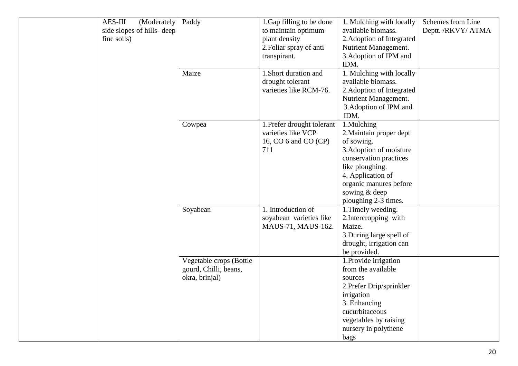| <b>AES-III</b><br>(Moderately | Paddy                   | 1. Gap filling to be done  | 1. Mulching with locally  | Schemes from Line  |
|-------------------------------|-------------------------|----------------------------|---------------------------|--------------------|
| side slopes of hills- deep    |                         | to maintain optimum        | available biomass.        | Deptt. /RKVY/ ATMA |
| fine soils)                   |                         | plant density              | 2. Adoption of Integrated |                    |
|                               |                         | 2. Foliar spray of anti    | Nutrient Management.      |                    |
|                               |                         | transpirant.               | 3. Adoption of IPM and    |                    |
|                               |                         |                            | IDM.                      |                    |
|                               | Maize                   | 1. Short duration and      | 1. Mulching with locally  |                    |
|                               |                         | drought tolerant           | available biomass.        |                    |
|                               |                         | varieties like RCM-76.     | 2. Adoption of Integrated |                    |
|                               |                         |                            | Nutrient Management.      |                    |
|                               |                         |                            | 3. Adoption of IPM and    |                    |
|                               |                         |                            | IDM.                      |                    |
|                               | Cowpea                  | 1. Prefer drought tolerant | 1.Mulching                |                    |
|                               |                         | varieties like VCP         | 2. Maintain proper dept   |                    |
|                               |                         | 16, CO 6 and CO (CP)       | of sowing.                |                    |
|                               |                         | 711                        | 3. Adoption of moisture   |                    |
|                               |                         |                            | conservation practices    |                    |
|                               |                         |                            | like ploughing.           |                    |
|                               |                         |                            | 4. Application of         |                    |
|                               |                         |                            | organic manures before    |                    |
|                               |                         |                            | sowing & deep             |                    |
|                               |                         |                            | ploughing 2-3 times.      |                    |
|                               | Soyabean                | 1. Introduction of         | 1. Timely weeding.        |                    |
|                               |                         | soyabean varieties like    | 2. Intercropping with     |                    |
|                               |                         | MAUS-71, MAUS-162.         | Maize.                    |                    |
|                               |                         |                            | 3. During large spell of  |                    |
|                               |                         |                            | drought, irrigation can   |                    |
|                               |                         |                            | be provided.              |                    |
|                               | Vegetable crops (Bottle |                            | 1. Provide irrigation     |                    |
|                               | gourd, Chilli, beans,   |                            | from the available        |                    |
|                               | okra, brinjal)          |                            | sources                   |                    |
|                               |                         |                            | 2. Prefer Drip/sprinkler  |                    |
|                               |                         |                            | irrigation                |                    |
|                               |                         |                            | 3. Enhancing              |                    |
|                               |                         |                            | cucurbitaceous            |                    |
|                               |                         |                            | vegetables by raising     |                    |
|                               |                         |                            | nursery in polythene      |                    |
|                               |                         |                            | bags                      |                    |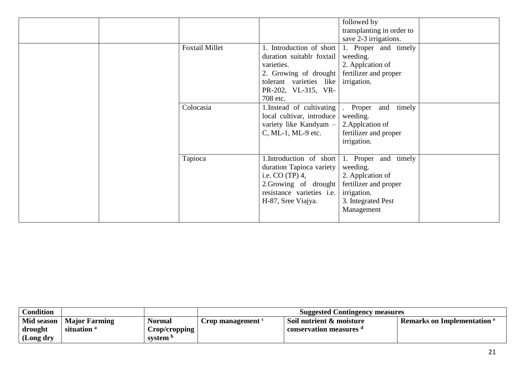|                       |                                                                                                                                                                  | followed by<br>transplanting in order to                                                                                                 |  |
|-----------------------|------------------------------------------------------------------------------------------------------------------------------------------------------------------|------------------------------------------------------------------------------------------------------------------------------------------|--|
| <b>Foxtail Millet</b> | duration suitablr foxtail<br>varieties.<br>2. Growing of drought fertilizer and proper<br>tolerant varieties like irrigation.<br>PR-202, VL-315, VR-<br>708 etc. | save 2-3 irrigations.<br>1. Introduction of short 1. Proper and timely<br>weeding.<br>2. Appleation of                                   |  |
| Colocasia             | 1. Instead of cultivating<br>local cultivar, introduce<br>variety like Kandyam -<br>C, ML-1, ML-9 etc.                                                           | timely<br>Proper and<br>weeding.<br>2. Appleation of<br>fertilizer and proper<br>irrigation.                                             |  |
| Tapioca               | duration Tapioca variety<br>i.e. CO $(TP)$ 4,<br>2. Growing of drought   fertilizer and proper<br>resistance varieties i.e.<br>H-87, Sree Viajya.                | 1. Introduction of short $\vert$ 1. Proper and timely<br>weeding.<br>2. Appleation of<br>irrigation.<br>3. Integrated Pest<br>Management |  |

| <b>Condition</b> |                        |                     |                                     | <b>Suggested Contingency measures</b> |                                               |
|------------------|------------------------|---------------------|-------------------------------------|---------------------------------------|-----------------------------------------------|
| Mid season       | <b>Major Farming</b>   | Normal              | <b>Trop management <sup>c</sup></b> | $\vert$ Soil nutrient $\&$ moisture   | <b>Remarks on Implementation <sup>e</sup></b> |
| drought          | situation <sup>a</sup> | Crop/cropping       |                                     | conservation measures "               |                                               |
| (Long dry        |                        | system <sup>p</sup> |                                     |                                       |                                               |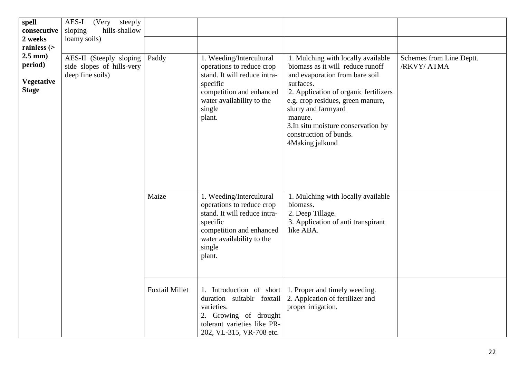| spell<br>consecutive<br>2 weeks<br>rainless $($              | AES-I<br>(Very<br>steeply<br>sloping<br>hills-shallow<br>loamy soils)    |                       |                                                                                                                                                                                |                                                                                                                                                                                                                                                                                                                           |                                         |
|--------------------------------------------------------------|--------------------------------------------------------------------------|-----------------------|--------------------------------------------------------------------------------------------------------------------------------------------------------------------------------|---------------------------------------------------------------------------------------------------------------------------------------------------------------------------------------------------------------------------------------------------------------------------------------------------------------------------|-----------------------------------------|
| $2.5$ mm $)$<br>period)<br><b>Vegetative</b><br><b>Stage</b> | AES-II (Steeply sloping<br>side slopes of hills-very<br>deep fine soils) | Paddy                 | 1. Weeding/Intercultural<br>operations to reduce crop<br>stand. It will reduce intra-<br>specific<br>competition and enhanced<br>water availability to the<br>single<br>plant. | 1. Mulching with locally available<br>biomass as it will reduce runoff<br>and evaporation from bare soil<br>surfaces.<br>2. Application of organic fertilizers<br>e.g. crop residues, green manure,<br>slurry and farmyard<br>manure.<br>3. In situ moisture conservation by<br>construction of bunds.<br>4Making jalkund | Schemes from Line Deptt.<br>/RKVY/ ATMA |
|                                                              |                                                                          | Maize                 | 1. Weeding/Intercultural<br>operations to reduce crop<br>stand. It will reduce intra-<br>specific<br>competition and enhanced<br>water availability to the<br>single<br>plant. | 1. Mulching with locally available<br>biomass.<br>2. Deep Tillage.<br>3. Application of anti transpirant<br>like ABA.                                                                                                                                                                                                     |                                         |
|                                                              |                                                                          | <b>Foxtail Millet</b> | 1. Introduction of short<br>duration suitablr foxtail<br>varieties.<br>2. Growing of drought<br>tolerant varieties like PR-<br>202, VL-315, VR-708 etc.                        | 1. Proper and timely weeding.<br>2. Appleation of fertilizer and<br>proper irrigation.                                                                                                                                                                                                                                    |                                         |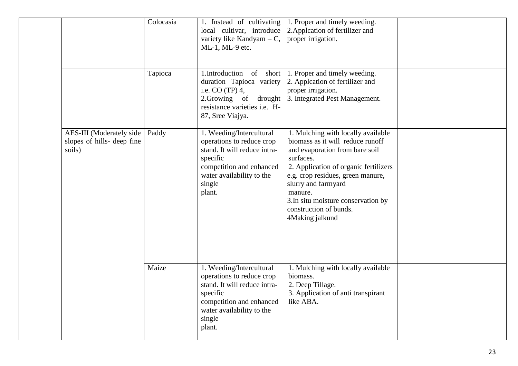|                                                                  | Colocasia | 1. Instead of cultivating<br>local cultivar, introduce<br>variety like Kandyam $- C$ ,<br>ML-1, ML-9 etc.                                                                      | 1. Proper and timely weeding.<br>2. Appleation of fertilizer and<br>proper irrigation.                                                                                                                                                                                                                                    |  |
|------------------------------------------------------------------|-----------|--------------------------------------------------------------------------------------------------------------------------------------------------------------------------------|---------------------------------------------------------------------------------------------------------------------------------------------------------------------------------------------------------------------------------------------------------------------------------------------------------------------------|--|
|                                                                  | Tapioca   | 1.Introduction of short<br>duration Tapioca variety<br>i.e. $CO(TP)$ 4,<br>2.Growing of drought<br>resistance varieties i.e. H-<br>87, Sree Viajya.                            | 1. Proper and timely weeding.<br>2. Appleation of fertilizer and<br>proper irrigation.<br>3. Integrated Pest Management.                                                                                                                                                                                                  |  |
| AES-III (Moderately side<br>slopes of hills- deep fine<br>soils) | Paddy     | 1. Weeding/Intercultural<br>operations to reduce crop<br>stand. It will reduce intra-<br>specific<br>competition and enhanced<br>water availability to the<br>single<br>plant. | 1. Mulching with locally available<br>biomass as it will reduce runoff<br>and evaporation from bare soil<br>surfaces.<br>2. Application of organic fertilizers<br>e.g. crop residues, green manure,<br>slurry and farmyard<br>manure.<br>3. In situ moisture conservation by<br>construction of bunds.<br>4Making jalkund |  |
|                                                                  | Maize     | 1. Weeding/Intercultural<br>operations to reduce crop<br>stand. It will reduce intra-<br>specific<br>competition and enhanced<br>water availability to the<br>single<br>plant. | 1. Mulching with locally available<br>biomass.<br>2. Deep Tillage.<br>3. Application of anti transpirant<br>like ABA.                                                                                                                                                                                                     |  |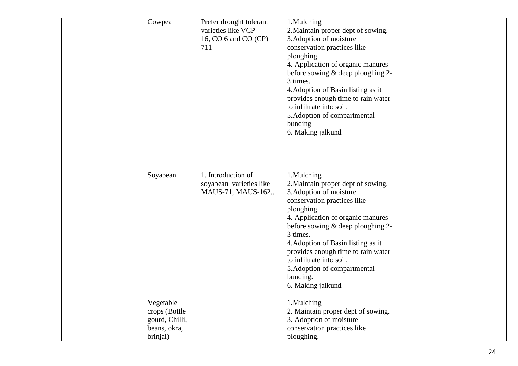| Cowpea                                                                   | Prefer drought tolerant<br>varieties like VCP<br>16, CO 6 and CO (CP)<br>711 | 1.Mulching<br>2. Maintain proper dept of sowing.<br>3. Adoption of moisture<br>conservation practices like<br>ploughing.<br>4. Application of organic manures<br>before sowing & deep ploughing 2-<br>3 times.<br>4. Adoption of Basin listing as it<br>provides enough time to rain water<br>to infiltrate into soil.<br>5. Adoption of compartmental<br>bunding<br>6. Making jalkund  |  |
|--------------------------------------------------------------------------|------------------------------------------------------------------------------|-----------------------------------------------------------------------------------------------------------------------------------------------------------------------------------------------------------------------------------------------------------------------------------------------------------------------------------------------------------------------------------------|--|
| Soyabean                                                                 | 1. Introduction of<br>soyabean varieties like<br>MAUS-71, MAUS-162           | 1.Mulching<br>2. Maintain proper dept of sowing.<br>3. Adoption of moisture<br>conservation practices like<br>ploughing.<br>4. Application of organic manures<br>before sowing & deep ploughing 2-<br>3 times.<br>4. Adoption of Basin listing as it<br>provides enough time to rain water<br>to infiltrate into soil.<br>5. Adoption of compartmental<br>bunding.<br>6. Making jalkund |  |
| Vegetable<br>crops (Bottle<br>gourd, Chilli,<br>beans, okra,<br>brinjal) |                                                                              | 1.Mulching<br>2. Maintain proper dept of sowing.<br>3. Adoption of moisture<br>conservation practices like<br>ploughing.                                                                                                                                                                                                                                                                |  |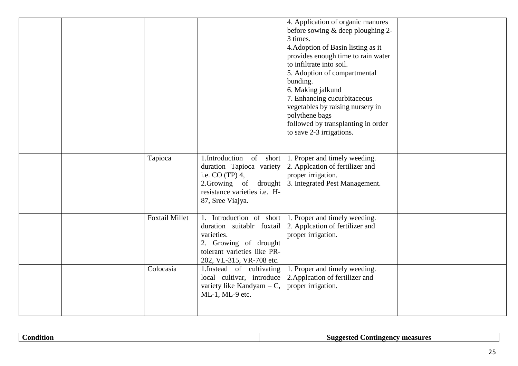|  |                       |                                                                                                                             | 4. Application of organic manures<br>before sowing $&$ deep ploughing 2-<br>3 times.<br>4. Adoption of Basin listing as it<br>provides enough time to rain water<br>to infiltrate into soil.<br>5. Adoption of compartmental<br>bunding.<br>6. Making jalkund<br>7. Enhancing cucurbitaceous<br>vegetables by raising nursery in<br>polythene bags<br>followed by transplanting in order<br>to save 2-3 irrigations. |  |
|--|-----------------------|-----------------------------------------------------------------------------------------------------------------------------|----------------------------------------------------------------------------------------------------------------------------------------------------------------------------------------------------------------------------------------------------------------------------------------------------------------------------------------------------------------------------------------------------------------------|--|
|  | Tapioca               | duration Tapioca variety<br>i.e. $CO(TP)$ 4,<br>resistance varieties i.e. H-<br>87, Sree Viajya.                            | 1. Introduction of short $\vert$ 1. Proper and timely weeding.<br>2. Appleation of fertilizer and<br>proper irrigation.<br>2. Growing of drought 3. Integrated Pest Management.                                                                                                                                                                                                                                      |  |
|  | <b>Foxtail Millet</b> | duration suitablr foxtail<br>varieties.<br>2. Growing of drought<br>tolerant varieties like PR-<br>202, VL-315, VR-708 etc. | 1. Introduction of short $\vert$ 1. Proper and timely weeding.<br>2. Applcation of fertilizer and<br>proper irrigation.                                                                                                                                                                                                                                                                                              |  |
|  | Colocasia             | 1. Instead of cultivating<br>local cultivar, introduce<br>variety like Kandyam $- C$ ,<br>ML-1, ML-9 etc.                   | 1. Proper and timely weeding.<br>2. Appleation of fertilizer and<br>proper irrigation.                                                                                                                                                                                                                                                                                                                               |  |

|--|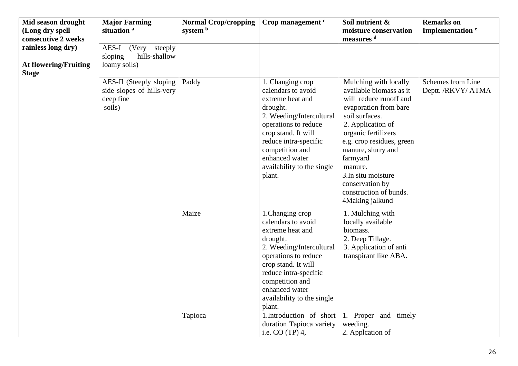| Mid season drought<br>(Long dry spell<br>consecutive 2 weeks       | <b>Major Farming</b><br>situation <sup>a</sup>                              | <b>Normal Crop/cropping</b><br>system b | Crop management <sup>c</sup>                                                                                                                                                                                                                                                       | Soil nutrient &<br>moisture conservation<br>measures <sup>d</sup>                                                                                                                                                                                                                                                                  | <b>Remarks</b> on<br>Implementation <sup>e</sup> |
|--------------------------------------------------------------------|-----------------------------------------------------------------------------|-----------------------------------------|------------------------------------------------------------------------------------------------------------------------------------------------------------------------------------------------------------------------------------------------------------------------------------|------------------------------------------------------------------------------------------------------------------------------------------------------------------------------------------------------------------------------------------------------------------------------------------------------------------------------------|--------------------------------------------------|
| rainless long dry)<br><b>At flowering/Fruiting</b><br><b>Stage</b> | AES-I (Very steeply<br>hills-shallow<br>sloping<br>loamy soils)             |                                         |                                                                                                                                                                                                                                                                                    |                                                                                                                                                                                                                                                                                                                                    |                                                  |
|                                                                    | AES-II (Steeply sloping<br>side slopes of hills-very<br>deep fine<br>soils) | Paddy                                   | 1. Changing crop<br>calendars to avoid<br>extreme heat and<br>drought.<br>2. Weeding/Intercultural<br>operations to reduce<br>crop stand. It will<br>reduce intra-specific<br>competition and<br>enhanced water<br>availability to the single<br>plant.                            | Mulching with locally<br>available biomass as it<br>will reduce runoff and<br>evaporation from bare<br>soil surfaces.<br>2. Application of<br>organic fertilizers<br>e.g. crop residues, green<br>manure, slurry and<br>farmyard<br>manure.<br>3. In situ moisture<br>conservation by<br>construction of bunds.<br>4Making jalkund | Schemes from Line<br>Deptt. /RKVY/ ATMA          |
|                                                                    |                                                                             | Maize<br>Tapioca                        | 1. Changing crop<br>calendars to avoid<br>extreme heat and<br>drought.<br>2. Weeding/Intercultural<br>operations to reduce<br>crop stand. It will<br>reduce intra-specific<br>competition and<br>enhanced water<br>availability to the single<br>plant.<br>1.Introduction of short | 1. Mulching with<br>locally available<br>biomass.<br>2. Deep Tillage.<br>3. Application of anti<br>transpirant like ABA.<br>Proper and timely<br>1.                                                                                                                                                                                |                                                  |
|                                                                    |                                                                             |                                         | duration Tapioca variety<br>i.e. CO (TP) 4,                                                                                                                                                                                                                                        | weeding.<br>2. Appleation of                                                                                                                                                                                                                                                                                                       |                                                  |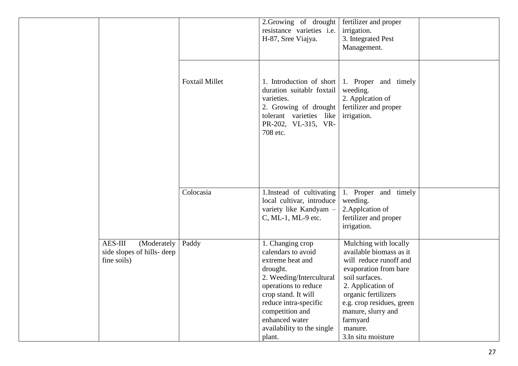|                                                                    |                       | 2. Growing of drought fertilizer and proper<br>resistance varieties i.e.<br>H-87, Sree Viajya.                                                                                                                                                          | irrigation.<br>3. Integrated Pest<br>Management.                                                                                                                                                                                                                  |  |
|--------------------------------------------------------------------|-----------------------|---------------------------------------------------------------------------------------------------------------------------------------------------------------------------------------------------------------------------------------------------------|-------------------------------------------------------------------------------------------------------------------------------------------------------------------------------------------------------------------------------------------------------------------|--|
|                                                                    | <b>Foxtail Millet</b> | duration suitablr foxtail<br>varieties.<br>2. Growing of drought<br>tolerant varieties like<br>PR-202, VL-315, VR-<br>708 etc.                                                                                                                          | 1. Introduction of short $\vert$ 1. Proper and timely<br>weeding.<br>2. Appleation of<br>fertilizer and proper<br>irrigation.                                                                                                                                     |  |
|                                                                    | Colocasia             | 1. Instead of cultivating<br>local cultivar, introduce<br>variety like Kandyam -<br>C, ML-1, ML-9 etc.                                                                                                                                                  | 1. Proper and timely<br>weeding.<br>2. Appleation of<br>fertilizer and proper<br>irrigation.                                                                                                                                                                      |  |
| AES-III<br>(Moderately<br>side slopes of hills-deep<br>fine soils) | Paddy                 | 1. Changing crop<br>calendars to avoid<br>extreme heat and<br>drought.<br>2. Weeding/Intercultural<br>operations to reduce<br>crop stand. It will<br>reduce intra-specific<br>competition and<br>enhanced water<br>availability to the single<br>plant. | Mulching with locally<br>available biomass as it<br>will reduce runoff and<br>evaporation from bare<br>soil surfaces.<br>2. Application of<br>organic fertilizers<br>e.g. crop residues, green<br>manure, slurry and<br>farmyard<br>manure.<br>3.In situ moisture |  |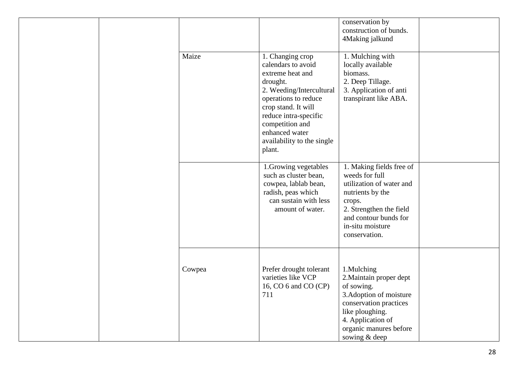|  |        |                                                                                                                                                                                                                                                         |                                                                                                                                                                                               | conservation by<br>construction of bunds.<br>4Making jalkund |  |
|--|--------|---------------------------------------------------------------------------------------------------------------------------------------------------------------------------------------------------------------------------------------------------------|-----------------------------------------------------------------------------------------------------------------------------------------------------------------------------------------------|--------------------------------------------------------------|--|
|  | Maize  | 1. Changing crop<br>calendars to avoid<br>extreme heat and<br>drought.<br>2. Weeding/Intercultural<br>operations to reduce<br>crop stand. It will<br>reduce intra-specific<br>competition and<br>enhanced water<br>availability to the single<br>plant. | 1. Mulching with<br>locally available<br>biomass.<br>2. Deep Tillage.<br>3. Application of anti<br>transpirant like ABA.                                                                      |                                                              |  |
|  |        | 1. Growing vegetables<br>such as cluster bean,<br>cowpea, lablab bean,<br>radish, peas which<br>can sustain with less<br>amount of water.                                                                                                               | 1. Making fields free of<br>weeds for full<br>utilization of water and<br>nutrients by the<br>crops.<br>2. Strengthen the field<br>and contour bunds for<br>in-situ moisture<br>conservation. |                                                              |  |
|  | Cowpea | Prefer drought tolerant<br>varieties like VCP<br>16, CO 6 and CO (CP)<br>711                                                                                                                                                                            | 1.Mulching<br>2. Maintain proper dept<br>of sowing.<br>3. Adoption of moisture<br>conservation practices<br>like ploughing.<br>4. Application of<br>organic manures before<br>sowing & deep   |                                                              |  |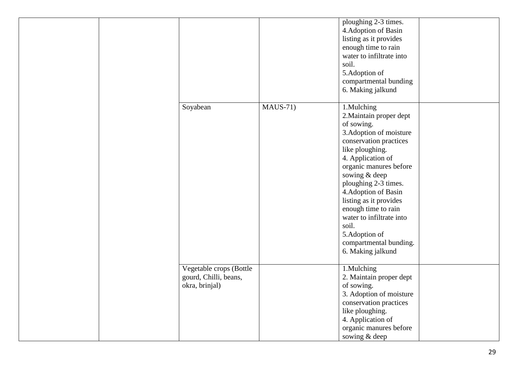|  |                                                                    |            | ploughing 2-3 times.<br>4. Adoption of Basin<br>listing as it provides<br>enough time to rain<br>water to infiltrate into<br>soil.<br>5.Adoption of<br>compartmental bunding<br>6. Making jalkund                                                                                                                                                                                                 |  |
|--|--------------------------------------------------------------------|------------|---------------------------------------------------------------------------------------------------------------------------------------------------------------------------------------------------------------------------------------------------------------------------------------------------------------------------------------------------------------------------------------------------|--|
|  | Soyabean                                                           | $MAUS-71)$ | 1.Mulching<br>2. Maintain proper dept<br>of sowing.<br>3. Adoption of moisture<br>conservation practices<br>like ploughing.<br>4. Application of<br>organic manures before<br>sowing & deep<br>ploughing 2-3 times.<br>4. Adoption of Basin<br>listing as it provides<br>enough time to rain<br>water to infiltrate into<br>soil.<br>5.Adoption of<br>compartmental bunding.<br>6. Making jalkund |  |
|  | Vegetable crops (Bottle<br>gourd, Chilli, beans,<br>okra, brinjal) |            | 1.Mulching<br>2. Maintain proper dept<br>of sowing.<br>3. Adoption of moisture<br>conservation practices<br>like ploughing.<br>4. Application of<br>organic manures before<br>sowing & deep                                                                                                                                                                                                       |  |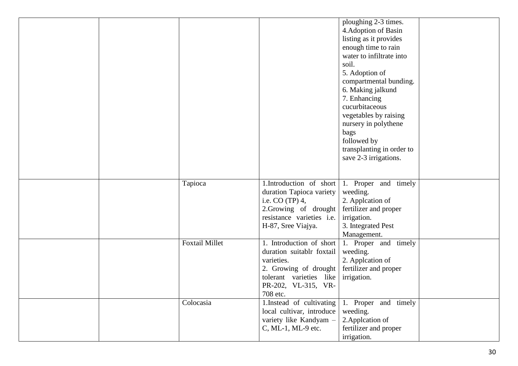|                       |                                                                                                                                                                        | ploughing 2-3 times.<br>4. Adoption of Basin<br>listing as it provides<br>enough time to rain<br>water to infiltrate into<br>soil.<br>5. Adoption of<br>compartmental bunding.<br>6. Making jalkund<br>7. Enhancing<br>cucurbitaceous<br>vegetables by raising<br>nursery in polythene<br>bags<br>followed by<br>transplanting in order to<br>save 2-3 irrigations. |  |
|-----------------------|------------------------------------------------------------------------------------------------------------------------------------------------------------------------|---------------------------------------------------------------------------------------------------------------------------------------------------------------------------------------------------------------------------------------------------------------------------------------------------------------------------------------------------------------------|--|
|                       |                                                                                                                                                                        |                                                                                                                                                                                                                                                                                                                                                                     |  |
| Tapioca               | $\overline{1.}$ Introduction of short<br>duration Tapioca variety<br>i.e. $CO(TP)$ 4,<br>2.Growing of drought<br>resistance varieties i.e.<br>H-87, Sree Viajya.       | 1. Proper and timely<br>weeding.<br>2. Appleation of<br>fertilizer and proper<br>irrigation.<br>3. Integrated Pest<br>Management.                                                                                                                                                                                                                                   |  |
| <b>Foxtail Millet</b> | 1. Introduction of short<br>duration suitablr foxtail<br>varieties.<br>2. Growing of drought<br>tolerant varieties like irrigation.<br>PR-202, VL-315, VR-<br>708 etc. | 1. Proper and timely<br>weeding.<br>2. Appleation of<br>fertilizer and proper                                                                                                                                                                                                                                                                                       |  |
| Colocasia             | 1. Instead of cultivating<br>local cultivar, introduce<br>variety like Kandyam -<br>C, ML-1, ML-9 etc.                                                                 | 1. Proper and timely<br>weeding.<br>2. Appleation of<br>fertilizer and proper<br>irrigation.                                                                                                                                                                                                                                                                        |  |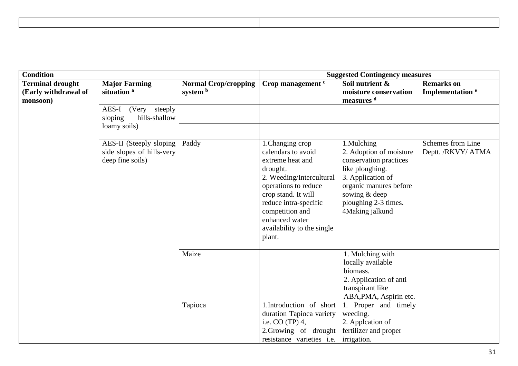| <b>Condition</b>                                            |                                                                          |                                         | <b>Suggested Contingency measures</b>                                                                                                                                                                                                                   |                                                                                                                                                                                                                           |                                                  |  |
|-------------------------------------------------------------|--------------------------------------------------------------------------|-----------------------------------------|---------------------------------------------------------------------------------------------------------------------------------------------------------------------------------------------------------------------------------------------------------|---------------------------------------------------------------------------------------------------------------------------------------------------------------------------------------------------------------------------|--------------------------------------------------|--|
| <b>Terminal drought</b><br>(Early withdrawal of<br>monsoon) | <b>Major Farming</b><br>situation <sup>a</sup>                           | <b>Normal Crop/cropping</b><br>system b | Crop management <sup>c</sup>                                                                                                                                                                                                                            | Soil nutrient &<br>moisture conservation<br>measures d                                                                                                                                                                    | <b>Remarks</b> on<br>Implementation <sup>e</sup> |  |
|                                                             | AES-I<br>(Very steeply)<br>sloping<br>hills-shallow<br>loamy soils)      |                                         |                                                                                                                                                                                                                                                         |                                                                                                                                                                                                                           |                                                  |  |
|                                                             | AES-II (Steeply sloping<br>side slopes of hills-very<br>deep fine soils) | Paddy                                   | 1. Changing crop<br>calendars to avoid<br>extreme heat and<br>drought.<br>2. Weeding/Intercultural<br>operations to reduce<br>crop stand. It will<br>reduce intra-specific<br>competition and<br>enhanced water<br>availability to the single<br>plant. | 1.Mulching<br>2. Adoption of moisture<br>conservation practices<br>like ploughing.<br>3. Application of<br>organic manures before<br>sowing & deep<br>ploughing 2-3 times.<br>4Making jalkund                             | Schemes from Line<br>Deptt. /RKVY/ ATMA          |  |
|                                                             |                                                                          | Maize<br>Tapioca                        | 1.Introduction of short<br>duration Tapioca variety<br>i.e. $CO(TP)$ 4,<br>2.Growing of drought<br>resistance varieties i.e.                                                                                                                            | 1. Mulching with<br>locally available<br>biomass.<br>2. Application of anti<br>transpirant like<br>ABA, PMA, Aspirin etc.<br>1. Proper and timely<br>weeding.<br>2. Appleation of<br>fertilizer and proper<br>irrigation. |                                                  |  |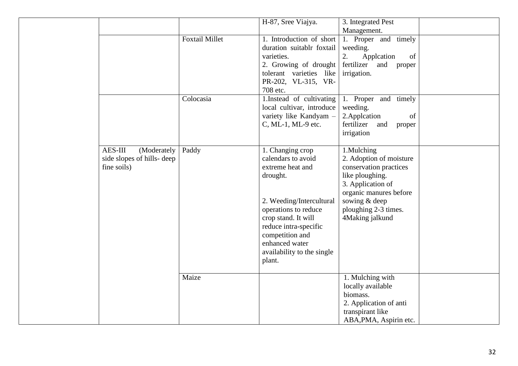|                            |                       | H-87, Sree Viajya.                     | 3. Integrated Pest          |  |
|----------------------------|-----------------------|----------------------------------------|-----------------------------|--|
|                            |                       |                                        | Management.                 |  |
|                            | <b>Foxtail Millet</b> | 1. Introduction of short               | 1. Proper and timely        |  |
|                            |                       | duration suitablr foxtail              | weeding.                    |  |
|                            |                       | varieties.                             | 2.<br>Appleation<br>of      |  |
|                            |                       | 2. Growing of drought                  | fertilizer and proper       |  |
|                            |                       | tolerant varieties like                | irrigation.                 |  |
|                            |                       | PR-202, VL-315, VR-                    |                             |  |
|                            |                       | 708 etc.                               |                             |  |
|                            | Colocasia             | 1.Instead of cultivating               | 1. Proper and timely        |  |
|                            |                       | local cultivar, introduce              | weeding.                    |  |
|                            |                       | variety like Kandyam -                 | 2. Applcation<br>of         |  |
|                            |                       | C, ML-1, ML-9 etc.                     | fertilizer<br>and<br>proper |  |
|                            |                       |                                        | irrigation                  |  |
| AES-III<br>(Moderately     | Paddy                 |                                        | 1.Mulching                  |  |
| side slopes of hills- deep |                       | 1. Changing crop<br>calendars to avoid | 2. Adoption of moisture     |  |
| fine soils)                |                       | extreme heat and                       | conservation practices      |  |
|                            |                       | drought.                               | like ploughing.             |  |
|                            |                       |                                        | 3. Application of           |  |
|                            |                       |                                        | organic manures before      |  |
|                            |                       | 2. Weeding/Intercultural               | sowing & deep               |  |
|                            |                       | operations to reduce                   | ploughing 2-3 times.        |  |
|                            |                       | crop stand. It will                    | 4Making jalkund             |  |
|                            |                       | reduce intra-specific                  |                             |  |
|                            |                       | competition and                        |                             |  |
|                            |                       | enhanced water                         |                             |  |
|                            |                       | availability to the single             |                             |  |
|                            |                       | plant.                                 |                             |  |
|                            |                       |                                        |                             |  |
|                            | Maize                 |                                        | 1. Mulching with            |  |
|                            |                       |                                        | locally available           |  |
|                            |                       |                                        | biomass.                    |  |
|                            |                       |                                        | 2. Application of anti      |  |
|                            |                       |                                        | transpirant like            |  |
|                            |                       |                                        | ABA, PMA, Aspirin etc.      |  |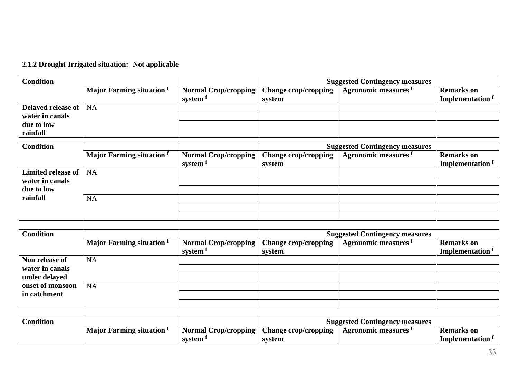# **2.1.2 Drought-Irrigated situation: Not applicable**

| <b>Condition</b>               |                                  |                      | <b>Suggested Contingency measures</b> |                                 |                             |
|--------------------------------|----------------------------------|----------------------|---------------------------------------|---------------------------------|-----------------------------|
|                                | <b>Major Farming situation</b> f | Normal Crop/cropping | $\mid$ Change crop/cropping           | Agronomic measures <sup>1</sup> | <b>Remarks</b> on           |
|                                |                                  | system f             | system                                |                                 | Implementation <sup>t</sup> |
| <b>Delayed release of   NA</b> |                                  |                      |                                       |                                 |                             |
| water in canals                |                                  |                      |                                       |                                 |                             |
| due to low                     |                                  |                      |                                       |                                 |                             |
| rainfall                       |                                  |                      |                                       |                                 |                             |

| <b>Condition</b>   |                                  |                      | <b>Suggested Contingency measures</b> |                             |                             |
|--------------------|----------------------------------|----------------------|---------------------------------------|-----------------------------|-----------------------------|
|                    | <b>Major Farming situation</b> f | Normal Crop/cropping | <b>Change crop/cropping</b>           | <b>Agronomic measures</b> f | <b>Remarks</b> on           |
|                    |                                  | system <sup>f</sup>  | system                                |                             | Implementation <sup>t</sup> |
| Limited release of | <b>NA</b>                        |                      |                                       |                             |                             |
| water in canals    |                                  |                      |                                       |                             |                             |
| due to low         |                                  |                      |                                       |                             |                             |
| rainfall           | NA                               |                      |                                       |                             |                             |
|                    |                                  |                      |                                       |                             |                             |
|                    |                                  |                      |                                       |                             |                             |

| <b>Condition</b> |                                  |                      |                             | <b>Suggested Contingency measures</b> |                       |
|------------------|----------------------------------|----------------------|-----------------------------|---------------------------------------|-----------------------|
|                  | <b>Major Farming situation</b> f | Normal Crop/cropping | <b>Change crop/cropping</b> | Agronomic measures f                  | <b>Remarks</b> on     |
|                  |                                  | system <sup>f</sup>  | system                      |                                       | <b>Implementation</b> |
| Non release of   | <b>NA</b>                        |                      |                             |                                       |                       |
| water in canals  |                                  |                      |                             |                                       |                       |
| under delayed    |                                  |                      |                             |                                       |                       |
| onset of monsoon | <b>NA</b>                        |                      |                             |                                       |                       |
| in catchment     |                                  |                      |                             |                                       |                       |
|                  |                                  |                      |                             |                                       |                       |

| Condition |                                |                             | Suggested Contingency measures |                           |                   |
|-----------|--------------------------------|-----------------------------|--------------------------------|---------------------------|-------------------|
|           | <b>Major Farming situation</b> | <b>Normal Crop/cropping</b> | <b>Change crop/cropping</b>    | <b>Agronomic measures</b> | <b>Remarks</b> on |
|           |                                | system                      | system                         |                           | Implementation    |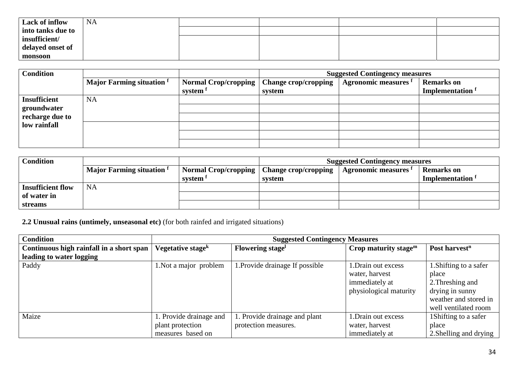| Lack of inflow    | <b>NA</b> |  |  |
|-------------------|-----------|--|--|
| into tanks due to |           |  |  |
| insufficient/     |           |  |  |
| delayed onset of  |           |  |  |
| monsoon           |           |  |  |

| <b>Condition</b>    |                                  |                      | <b>Suggested Contingency measures</b> |                      |                             |  |
|---------------------|----------------------------------|----------------------|---------------------------------------|----------------------|-----------------------------|--|
|                     | <b>Major Farming situation</b> f | Normal Crop/cropping | <b>Change crop/cropping</b>           | Agronomic measures f | <b>Remarks</b> on           |  |
|                     |                                  | system f             | system                                |                      | Implementation <sup>f</sup> |  |
| <b>Insufficient</b> | <b>NA</b>                        |                      |                                       |                      |                             |  |
| groundwater         |                                  |                      |                                       |                      |                             |  |
| recharge due to     |                                  |                      |                                       |                      |                             |  |
| low rainfall        |                                  |                      |                                       |                      |                             |  |
|                     |                                  |                      |                                       |                      |                             |  |
|                     |                                  |                      |                                       |                      |                             |  |

| <b>Condition</b>         |                                      |                                             | <b>Suggested Contingency measures</b> |                      |                         |
|--------------------------|--------------------------------------|---------------------------------------------|---------------------------------------|----------------------|-------------------------|
|                          | Major Farming situation <sup>f</sup> | Normal Crop/cropping   Change crop/cropping |                                       | Agronomic measures " | <b>Remarks</b> on       |
|                          |                                      | system <sup>I</sup>                         | svstem                                |                      | <b>Implementation</b> f |
| <b>Insufficient flow</b> | <b>NA</b>                            |                                             |                                       |                      |                         |
| of water in              |                                      |                                             |                                       |                      |                         |
| <b>streams</b>           |                                      |                                             |                                       |                      |                         |

**2.2 Unusual rains (untimely, unseasonal etc)** (for both rainfed and irrigated situations)

| <b>Condition</b>                         |                               | <b>Suggested Contingency Measures</b> |                         |                           |  |
|------------------------------------------|-------------------------------|---------------------------------------|-------------------------|---------------------------|--|
| Continuous high rainfall in a short span | Vegetative stage <sup>k</sup> | Flowering stage <sup>l</sup>          | Crop maturity stage $m$ | Post harvest <sup>n</sup> |  |
| leading to water logging                 |                               |                                       |                         |                           |  |
| Paddy                                    | 1. Not a major problem        | 1. Provide drainage If possible       | 1. Drain out excess     | 1. Shifting to a safer    |  |
|                                          |                               |                                       | water, harvest          | place                     |  |
|                                          |                               |                                       | immediately at          | 2. Threshing and          |  |
|                                          |                               |                                       | physiological maturity  | drying in sunny           |  |
|                                          |                               |                                       |                         | weather and stored in     |  |
|                                          |                               |                                       |                         | well ventilated room      |  |
| Maize                                    | 1. Provide drainage and       | 1. Provide drainage and plant         | 1. Drain out excess     | 1 Shifting to a safer     |  |
|                                          | plant protection              | protection measures.                  | water, harvest          | place                     |  |
|                                          | measures based on             |                                       | immediately at          | 2. Shelling and drying    |  |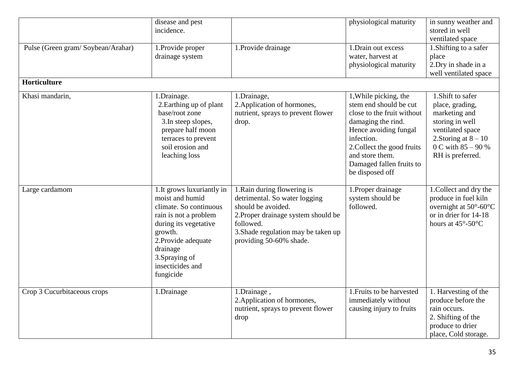|                                   | disease and pest<br>incidence.                                                                                                                                                                                             |                                                                                                                                                                                                          | physiological maturity                                                                                                                                                                                                                     | in sunny weather and<br>stored in well<br>ventilated space                                                                                                        |
|-----------------------------------|----------------------------------------------------------------------------------------------------------------------------------------------------------------------------------------------------------------------------|----------------------------------------------------------------------------------------------------------------------------------------------------------------------------------------------------------|--------------------------------------------------------------------------------------------------------------------------------------------------------------------------------------------------------------------------------------------|-------------------------------------------------------------------------------------------------------------------------------------------------------------------|
| Pulse (Green gram/Soybean/Arahar) | 1. Provide proper<br>drainage system                                                                                                                                                                                       | 1. Provide drainage                                                                                                                                                                                      | 1. Drain out excess<br>water, harvest at<br>physiological maturity                                                                                                                                                                         | 1. Shifting to a safer<br>place<br>2. Dry in shade in a<br>well ventilated space                                                                                  |
| Horticulture                      |                                                                                                                                                                                                                            |                                                                                                                                                                                                          |                                                                                                                                                                                                                                            |                                                                                                                                                                   |
| Khasi mandarin,                   | 1.Drainage.<br>2. Earthing up of plant<br>base/root zone<br>3. In steep slopes,<br>prepare half moon<br>terraces to prevent<br>soil erosion and<br>leaching loss                                                           | 1.Drainage,<br>2. Application of hormones,<br>nutrient, sprays to prevent flower<br>drop.                                                                                                                | 1, While picking, the<br>stem end should be cut<br>close to the fruit without<br>damaging the rind.<br>Hence avoiding fungal<br>infection.<br>2. Collect the good fruits<br>and store them.<br>Damaged fallen fruits to<br>be disposed off | 1. Shift to safer<br>place, grading,<br>marketing and<br>storing in well<br>ventilated space<br>2. Storing at $8 - 10$<br>0 C with $85 - 90%$<br>RH is preferred. |
| Large cardamom                    | 1. It grows luxuriantly in<br>moist and humid<br>climate. So continuous<br>rain is not a problem<br>during its vegetative<br>growth.<br>2. Provide adequate<br>drainage<br>3. Spraying of<br>insecticides and<br>fungicide | 1. Rain during flowering is<br>detrimental. So water logging<br>should be avoided.<br>2. Proper drainage system should be<br>followed.<br>3. Shade regulation may be taken up<br>providing 50-60% shade. | 1. Proper drainage<br>system should be<br>followed.                                                                                                                                                                                        | 1. Collect and dry the<br>produce in fuel kiln<br>overnight at $50^{\circ}$ -60 $^{\circ}$ C<br>or in drier for 14-18<br>hours at $45^{\circ}$ -50 $^{\circ}$ C   |
| Crop 3 Cucurbitaceous crops       | 1.Drainage                                                                                                                                                                                                                 | 1.Drainage,<br>2. Application of hormones,<br>nutrient, sprays to prevent flower<br>drop                                                                                                                 | 1. Fruits to be harvested<br>immediately without<br>causing injury to fruits                                                                                                                                                               | 1. Harvesting of the<br>produce before the<br>rain occurs.<br>2. Shifting of the<br>produce to drier<br>place, Cold storage.                                      |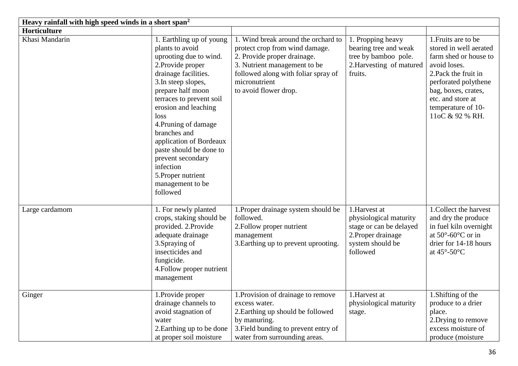| Heavy rainfall with high speed winds in a short span <sup>2</sup> |                                                                                                                                                                                                                                                                                                                                                                                                                  |                                                                                                                                                                                                                       |                                                                                                                         |                                                                                                                                                                                                                             |  |
|-------------------------------------------------------------------|------------------------------------------------------------------------------------------------------------------------------------------------------------------------------------------------------------------------------------------------------------------------------------------------------------------------------------------------------------------------------------------------------------------|-----------------------------------------------------------------------------------------------------------------------------------------------------------------------------------------------------------------------|-------------------------------------------------------------------------------------------------------------------------|-----------------------------------------------------------------------------------------------------------------------------------------------------------------------------------------------------------------------------|--|
| Horticulture                                                      |                                                                                                                                                                                                                                                                                                                                                                                                                  |                                                                                                                                                                                                                       |                                                                                                                         |                                                                                                                                                                                                                             |  |
| Khasi Mandarin                                                    | 1. Earthling up of young<br>plants to avoid<br>uprooting due to wind.<br>2. Provide proper<br>drainage facilities.<br>3. In steep slopes,<br>prepare half moon<br>terraces to prevent soil<br>erosion and leaching<br>loss<br>4. Pruning of damage<br>branches and<br>application of Bordeaux<br>paste should be done to<br>prevent secondary<br>infection<br>5. Proper nutrient<br>management to be<br>followed | 1. Wind break around the orchard to<br>protect crop from wind damage.<br>2. Provide proper drainage.<br>3. Nutrient management to be<br>followed along with foliar spray of<br>micronutrient<br>to avoid flower drop. | 1. Propping heavy<br>bearing tree and weak<br>tree by bamboo pole.<br>2. Harvesting of matured<br>fruits.               | 1. Fruits are to be<br>stored in well aerated<br>farm shed or house to<br>avoid loses.<br>2. Pack the fruit in<br>perforated polythene<br>bag, boxes, crates,<br>etc. and store at<br>temperature of 10-<br>11oC & 92 % RH. |  |
| Large cardamom                                                    | 1. For newly planted<br>crops, staking should be<br>provided. 2. Provide<br>adequate drainage<br>3. Spraying of<br>insecticides and<br>fungicide.<br>4. Follow proper nutrient<br>management                                                                                                                                                                                                                     | 1. Proper drainage system should be<br>followed.<br>2. Follow proper nutrient<br>management<br>3. Earthing up to prevent uprooting.                                                                                   | 1.Harvest at<br>physiological maturity<br>stage or can be delayed<br>2. Proper drainage<br>system should be<br>followed | 1. Collect the harvest<br>and dry the produce<br>in fuel kiln overnight<br>at $50^{\circ}$ -60 $^{\circ}$ C or in<br>drier for 14-18 hours<br>at $45^{\circ}$ -50 $^{\circ}$ C                                              |  |
| Ginger                                                            | 1. Provide proper<br>drainage channels to<br>avoid stagnation of<br>water<br>2. Earthing up to be done<br>at proper soil moisture                                                                                                                                                                                                                                                                                | 1. Provision of drainage to remove<br>excess water.<br>2. Earthing up should be followed<br>by manuring.<br>3. Field bunding to prevent entry of<br>water from surrounding areas.                                     | 1.Harvest at<br>physiological maturity<br>stage.                                                                        | 1. Shifting of the<br>produce to a drier<br>place.<br>2. Drying to remove<br>excess moisture of<br>produce (moisture                                                                                                        |  |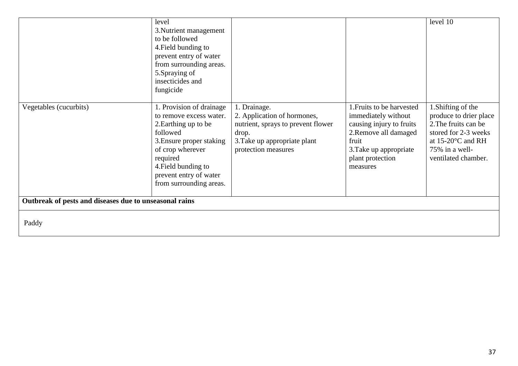|                                                        | level<br>3. Nutrient management<br>to be followed<br>4. Field bunding to<br>prevent entry of water<br>from surrounding areas.<br>5. Spraying of<br>insecticides and<br>fungicide                                                |                                                                                                                                                   |                                                                                                                                                                          | level 10                                                                                                                                                                       |  |
|--------------------------------------------------------|---------------------------------------------------------------------------------------------------------------------------------------------------------------------------------------------------------------------------------|---------------------------------------------------------------------------------------------------------------------------------------------------|--------------------------------------------------------------------------------------------------------------------------------------------------------------------------|--------------------------------------------------------------------------------------------------------------------------------------------------------------------------------|--|
| Vegetables (cucurbits)                                 | 1. Provision of drainage<br>to remove excess water.<br>2. Earthing up to be<br>followed<br>3. Ensure proper staking<br>of crop wherever<br>required<br>4. Field bunding to<br>prevent entry of water<br>from surrounding areas. | 1. Drainage.<br>2. Application of hormones,<br>nutrient, sprays to prevent flower<br>drop.<br>3. Take up appropriate plant<br>protection measures | 1. Fruits to be harvested<br>immediately without<br>causing injury to fruits<br>2. Remove all damaged<br>fruit<br>3. Take up appropriate<br>plant protection<br>measures | 1. Shifting of the<br>produce to drier place<br>2. The fruits can be<br>stored for 2-3 weeks<br>at $15\text{-}20\textdegree C$ and RH<br>75% in a well-<br>ventilated chamber. |  |
| Outbreak of pests and diseases due to unseasonal rains |                                                                                                                                                                                                                                 |                                                                                                                                                   |                                                                                                                                                                          |                                                                                                                                                                                |  |
| Paddy                                                  |                                                                                                                                                                                                                                 |                                                                                                                                                   |                                                                                                                                                                          |                                                                                                                                                                                |  |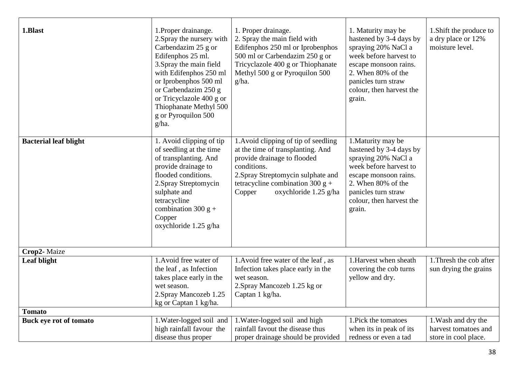| 1.Blast                      | 1. Proper drainange.<br>2. Spray the nursery with<br>Carbendazim 25 g or<br>Edifenphos 25 ml.<br>3. Spray the main field<br>with Edifenphos 250 ml<br>or Iprobenphos 500 ml<br>or Carbendazim 250 g<br>or Tricyclazole 400 g or<br>Thiophanate Methyl 500<br>g or Pyroquilon 500<br>g/ha. | 1. Proper drainage.<br>2. Spray the main field with<br>Edifenphos 250 ml or Iprobenphos<br>500 ml or Carbendazim 250 g or<br>Tricyclazole 400 g or Thiophanate<br>Methyl 500 g or Pyroquilon 500<br>g/ha.                              | 1. Maturity may be<br>hastened by 3-4 days by<br>spraying 20% NaCl a<br>week before harvest to<br>escape monsoon rains.<br>2. When 80% of the<br>panicles turn straw<br>colour, then harvest the<br>grain. | 1. Shift the produce to<br>a dry place or 12%<br>moisture level.    |
|------------------------------|-------------------------------------------------------------------------------------------------------------------------------------------------------------------------------------------------------------------------------------------------------------------------------------------|----------------------------------------------------------------------------------------------------------------------------------------------------------------------------------------------------------------------------------------|------------------------------------------------------------------------------------------------------------------------------------------------------------------------------------------------------------|---------------------------------------------------------------------|
| <b>Bacterial leaf blight</b> | 1. Avoid clipping of tip<br>of seedling at the time<br>of transplanting. And<br>provide drainage to<br>flooded conditions.<br>2. Spray Streptomycin<br>sulphate and<br>tetracycline<br>combination 300 $g$ +<br>Copper<br>oxychloride 1.25 g/ha                                           | 1. Avoid clipping of tip of seedling<br>at the time of transplanting. And<br>provide drainage to flooded<br>conditions.<br>2. Spray Streptomycin sulphate and<br>tetracycline combination 300 $g +$<br>Copper<br>oxychloride 1.25 g/ha | 1. Maturity may be<br>hastened by 3-4 days by<br>spraying 20% NaCl a<br>week before harvest to<br>escape monsoon rains.<br>2. When 80% of the<br>panicles turn straw<br>colour, then harvest the<br>grain. |                                                                     |
| Crop2-Maize                  |                                                                                                                                                                                                                                                                                           |                                                                                                                                                                                                                                        |                                                                                                                                                                                                            |                                                                     |
| Leaf blight                  | 1. Avoid free water of<br>the leaf, as Infection<br>takes place early in the<br>wet season.<br>2. Spray Mancozeb 1.25<br>kg or Captan 1 kg/ha.                                                                                                                                            | 1. Avoid free water of the leaf, as<br>Infection takes place early in the<br>wet season.<br>2. Spray Mancozeb 1.25 kg or<br>Captan 1 kg/ha.                                                                                            | 1. Harvest when sheath<br>covering the cob turns<br>yellow and dry.                                                                                                                                        | 1. Thresh the cob after<br>sun drying the grains                    |
| <b>Tomato</b>                |                                                                                                                                                                                                                                                                                           |                                                                                                                                                                                                                                        |                                                                                                                                                                                                            |                                                                     |
| Buck eye rot of tomato       | 1. Water-logged soil and<br>high rainfall favour the<br>disease thus proper                                                                                                                                                                                                               | 1. Water-logged soil and high<br>rainfall favout the disease thus<br>proper drainage should be provided                                                                                                                                | 1. Pick the tomatoes<br>when its in peak of its<br>redness or even a tad                                                                                                                                   | 1. Wash and dry the<br>harvest tomatoes and<br>store in cool place. |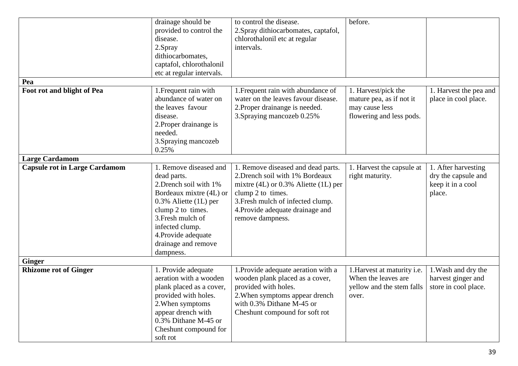| Pea                                                           | drainage should be<br>provided to control the<br>disease.<br>2.Spray<br>dithiocarbomates,<br>captafol, chlorothalonil<br>etc at regular intervals.                                                                                          | to control the disease.<br>2. Spray dithiocarbomates, captafol,<br>chlorothalonil etc at regular<br>intervals.                                                                                                                      | before.                                                                                       |                                                                           |
|---------------------------------------------------------------|---------------------------------------------------------------------------------------------------------------------------------------------------------------------------------------------------------------------------------------------|-------------------------------------------------------------------------------------------------------------------------------------------------------------------------------------------------------------------------------------|-----------------------------------------------------------------------------------------------|---------------------------------------------------------------------------|
| Foot rot and blight of Pea                                    | 1. Frequent rain with<br>abundance of water on<br>the leaves favour<br>disease.<br>2. Proper drainange is<br>needed.<br>3. Spraying mancozeb<br>0.25%                                                                                       | 1. Frequent rain with abundance of<br>water on the leaves favour disease.<br>2. Proper drainange is needed.<br>3. Spraying mancozeb 0.25%                                                                                           | 1. Harvest/pick the<br>mature pea, as if not it<br>may cause less<br>flowering and less pods. | 1. Harvest the pea and<br>place in cool place.                            |
| <b>Large Cardamom</b><br><b>Capsule rot in Large Cardamom</b> | 1. Remove diseased and<br>dead parts.<br>2. Drench soil with 1%<br>Bordeaux mixtre (4L) or<br>0.3% Aliette (1L) per<br>clump 2 to times.<br>3. Fresh mulch of<br>infected clump.<br>4. Provide adequate<br>drainage and remove<br>dampness. | 1. Remove diseased and dead parts.<br>2. Drench soil with 1% Bordeaux<br>mixtre $(4L)$ or 0.3% Aliette $(1L)$ per<br>clump 2 to times.<br>3. Fresh mulch of infected clump.<br>4. Provide adequate drainage and<br>remove dampness. | 1. Harvest the capsule at<br>right maturity.                                                  | 1. After harvesting<br>dry the capsule and<br>keep it in a cool<br>place. |
| <b>Ginger</b><br><b>Rhizome rot of Ginger</b>                 | 1. Provide adequate<br>aeration with a wooden<br>plank placed as a cover,<br>provided with holes.<br>2. When symptoms<br>appear drench with<br>0.3% Dithane M-45 or<br>Cheshunt compound for<br>soft rot                                    | 1. Provide adequate aeration with a<br>wooden plank placed as a cover,<br>provided with holes.<br>2. When symptoms appear drench<br>with 0.3% Dithane M-45 or<br>Cheshunt compound for soft rot                                     | 1. Harvest at maturity i.e.<br>When the leaves are<br>yellow and the stem falls<br>over.      | 1. Wash and dry the<br>harvest ginger and<br>store in cool place.         |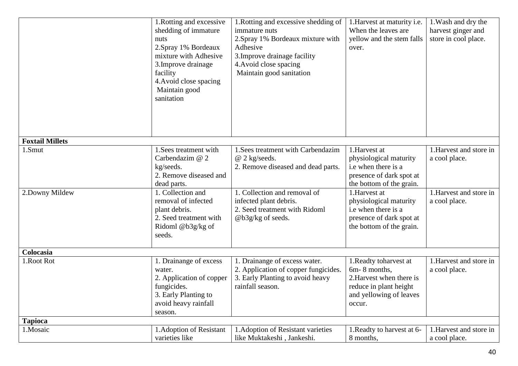|                           | 1. Rotting and excessive<br>shedding of immature<br>nuts<br>2.Spray 1% Bordeaux<br>mixture with Adhesive<br>3. Improve drainage<br>facility<br>4. Avoid close spacing<br>Maintain good<br>sanitation | 1. Rotting and excessive shedding of<br>immature nuts<br>2. Spray 1% Bordeaux mixture with<br>Adhesive<br>3. Improve drainage facility<br>4. Avoid close spacing<br>Maintain good sanitation                | 1. Harvest at maturity i.e.<br>When the leaves are<br>yellow and the stem falls<br>over.                                                                                                                           | 1. Wash and dry the<br>harvest ginger and<br>store in cool place.                      |
|---------------------------|------------------------------------------------------------------------------------------------------------------------------------------------------------------------------------------------------|-------------------------------------------------------------------------------------------------------------------------------------------------------------------------------------------------------------|--------------------------------------------------------------------------------------------------------------------------------------------------------------------------------------------------------------------|----------------------------------------------------------------------------------------|
| <b>Foxtail Millets</b>    |                                                                                                                                                                                                      |                                                                                                                                                                                                             |                                                                                                                                                                                                                    |                                                                                        |
| 1.Smut<br>2. Downy Mildew | 1. Sees treatment with<br>Carbendazim @ 2<br>kg/seeds.<br>2. Remove diseased and<br>dead parts.<br>1. Collection and<br>removal of infected<br>plant debris.<br>2. Seed treatment with               | 1. Sees treatment with Carbendazim<br>$@$ 2 kg/seeds.<br>2. Remove diseased and dead parts.<br>1. Collection and removal of<br>infected plant debris.<br>2. Seed treatment with Ridoml<br>@b3g/kg of seeds. | 1.Harvest at<br>physiological maturity<br>i.e when there is a<br>presence of dark spot at<br>the bottom of the grain.<br>1.Harvest at<br>physiological maturity<br>i.e when there is a<br>presence of dark spot at | 1. Harvest and store in<br>a cool place.<br>$1.$ Harvest and store in<br>a cool place. |
|                           | Ridoml @b3g/kg of<br>seeds.                                                                                                                                                                          |                                                                                                                                                                                                             | the bottom of the grain.                                                                                                                                                                                           |                                                                                        |
| Colocasia<br>1. Root Rot  | . Drainange of excess                                                                                                                                                                                | 1. Drainange of excess water.                                                                                                                                                                               | 1. Readty to harvest at                                                                                                                                                                                            | 1. Harvest and store in                                                                |
|                           | water.<br>2. Application of copper<br>fungicides.<br>3. Early Planting to<br>avoid heavy rainfall<br>season.                                                                                         | 2. Application of copper fungicides.<br>3. Early Planting to avoid heavy<br>rainfall season.                                                                                                                | 6m-8 months,<br>2. Harvest when there is<br>reduce in plant height<br>and yellowing of leaves<br>occur.                                                                                                            | a cool place.                                                                          |
| <b>Tapioca</b>            |                                                                                                                                                                                                      |                                                                                                                                                                                                             |                                                                                                                                                                                                                    |                                                                                        |
| 1.Mosaic                  | 1. Adoption of Resistant<br>varieties like                                                                                                                                                           | 1. Adoption of Resistant varieties<br>like Muktakeshi, Jankeshi.                                                                                                                                            | 1. Readty to harvest at 6-<br>8 months,                                                                                                                                                                            | 1. Harvest and store in<br>a cool place.                                               |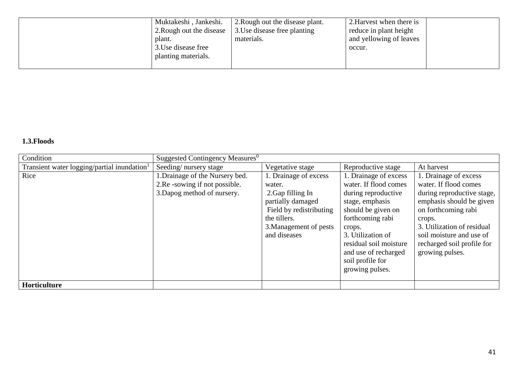| Muktakeshi, Jankeshi.<br>2. Rough out the disease<br>plant.<br>3. Use disease free | 2. Rough out the disease plant.<br>3. Use disease free planting<br>materials. | 2. Harvest when there is<br>reduce in plant height<br>and yellowing of leaves<br>occur. |
|------------------------------------------------------------------------------------|-------------------------------------------------------------------------------|-----------------------------------------------------------------------------------------|
| planting materials.                                                                |                                                                               |                                                                                         |

#### **1.3.Floods**

| Condition                                               | Suggested Contingency Measures <sup>0</sup>                                                     |                                                                                                                                                                |                                                                                                                                                                                                                                         |                                                                                                                                                                                                                                                      |  |
|---------------------------------------------------------|-------------------------------------------------------------------------------------------------|----------------------------------------------------------------------------------------------------------------------------------------------------------------|-----------------------------------------------------------------------------------------------------------------------------------------------------------------------------------------------------------------------------------------|------------------------------------------------------------------------------------------------------------------------------------------------------------------------------------------------------------------------------------------------------|--|
| Transient water logging/partial inundation <sup>1</sup> | Seeding/nursery stage                                                                           | Vegetative stage                                                                                                                                               | Reproductive stage                                                                                                                                                                                                                      | At harvest                                                                                                                                                                                                                                           |  |
| Rice                                                    | 1. Drainage of the Nursery bed.<br>2. Re-sowing if not possible.<br>3. Dapog method of nursery. | 1. Drainage of excess<br>water.<br>2. Gap filling In<br>partially damaged<br>Field by redistributing<br>the tillers.<br>3. Management of pests<br>and diseases | 1. Drainage of excess<br>water. If flood comes<br>during reproductive<br>stage, emphasis<br>should be given on<br>forthcoming rabi<br>crops.<br>3. Utilization of<br>residual soil moisture<br>and use of recharged<br>soil profile for | 1. Drainage of excess<br>water. If flood comes<br>during reproductive stage,<br>emphasis should be given<br>on forthcoming rabi<br>crops.<br>3. Utilization of residual<br>soil moisture and use of<br>recharged soil profile for<br>growing pulses. |  |
|                                                         |                                                                                                 |                                                                                                                                                                | growing pulses.                                                                                                                                                                                                                         |                                                                                                                                                                                                                                                      |  |
| Horticulture                                            |                                                                                                 |                                                                                                                                                                |                                                                                                                                                                                                                                         |                                                                                                                                                                                                                                                      |  |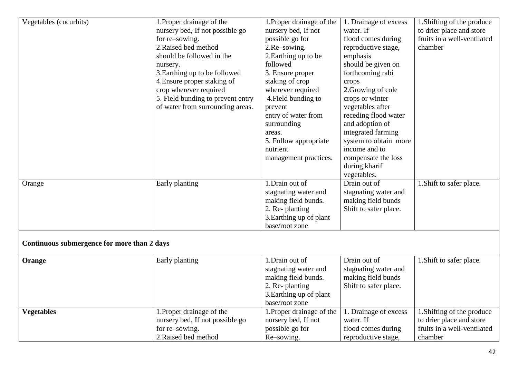| Vegetables (cucurbits)                      | 1. Proper drainage of the         | 1. Proper drainage of the | 1. Drainage of excess | 1. Shifting of the produce  |
|---------------------------------------------|-----------------------------------|---------------------------|-----------------------|-----------------------------|
|                                             | nursery bed, If not possible go   | nursery bed, If not       | water. If             | to drier place and store    |
|                                             | for re-sowing.                    | possible go for           | flood comes during    | fruits in a well-ventilated |
|                                             | 2. Raised bed method              | 2.Re-sowing.              | reproductive stage,   | chamber                     |
|                                             | should be followed in the         | 2. Earthing up to be      | emphasis              |                             |
|                                             | nursery.                          | followed                  | should be given on    |                             |
|                                             | 3. Earthing up to be followed     | 3. Ensure proper          | forthcoming rabi      |                             |
|                                             | 4. Ensure proper staking of       | staking of crop           | crops                 |                             |
|                                             | crop wherever required            | wherever required         | 2. Growing of cole    |                             |
|                                             | 5. Field bunding to prevent entry | 4. Field bunding to       | crops or winter       |                             |
|                                             | of water from surrounding areas.  | prevent                   | vegetables after      |                             |
|                                             |                                   | entry of water from       | receding flood water  |                             |
|                                             |                                   | surrounding               | and adoption of       |                             |
|                                             |                                   | areas.                    | integrated farming    |                             |
|                                             |                                   | 5. Follow appropriate     | system to obtain more |                             |
|                                             |                                   | nutrient                  | income and to         |                             |
|                                             |                                   | management practices.     | compensate the loss   |                             |
|                                             |                                   |                           | during kharif         |                             |
|                                             |                                   |                           | vegetables.           |                             |
| Orange                                      | Early planting                    | 1.Drain out of            | Drain out of          | 1. Shift to safer place.    |
|                                             |                                   | stagnating water and      | stagnating water and  |                             |
|                                             |                                   | making field bunds.       | making field bunds    |                             |
|                                             |                                   | 2. Re-planting            | Shift to safer place. |                             |
|                                             |                                   | 3. Earthing up of plant   |                       |                             |
|                                             |                                   | base/root zone            |                       |                             |
| Continuous submergence for more than 2 days |                                   |                           |                       |                             |
|                                             |                                   |                           |                       |                             |
| Orange                                      | Early planting                    | 1.Drain out of            | Drain out of          | 1. Shift to safer place.    |
|                                             |                                   | stagnating water and      | stagnating water and  |                             |
|                                             |                                   | making field bunds.       | making field bunds    |                             |
|                                             |                                   | 2. Re-planting            | Shift to safer place. |                             |
|                                             |                                   | 3. Earthing up of plant   |                       |                             |
|                                             |                                   | base/root zone            |                       |                             |
| <b>Vegetables</b>                           | 1. Proper drainage of the         | 1. Proper drainage of the | 1. Drainage of excess | 1. Shifting of the produce  |
|                                             | nursery bed, If not possible go   | nursery bed, If not       | water. If             | to drier place and store    |
|                                             | for re-sowing.                    | possible go for           | flood comes during    | fruits in a well-ventilated |
|                                             | 2.Raised bed method               | Re-sowing.                | reproductive stage,   | chamber                     |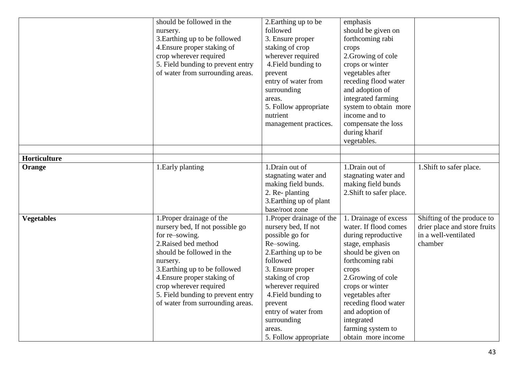|                   | should be followed in the         | 2. Earthing up to be      | emphasis                 |                              |
|-------------------|-----------------------------------|---------------------------|--------------------------|------------------------------|
|                   | nursery.                          | followed                  | should be given on       |                              |
|                   | 3. Earthing up to be followed     | 3. Ensure proper          | forthcoming rabi         |                              |
|                   | 4. Ensure proper staking of       | staking of crop           | crops                    |                              |
|                   | crop wherever required            | wherever required         | 2. Growing of cole       |                              |
|                   | 5. Field bunding to prevent entry | 4. Field bunding to       | crops or winter          |                              |
|                   | of water from surrounding areas.  | prevent                   | vegetables after         |                              |
|                   |                                   | entry of water from       | receding flood water     |                              |
|                   |                                   | surrounding               | and adoption of          |                              |
|                   |                                   | areas.                    | integrated farming       |                              |
|                   |                                   | 5. Follow appropriate     | system to obtain more    |                              |
|                   |                                   | nutrient                  | income and to            |                              |
|                   |                                   | management practices.     | compensate the loss      |                              |
|                   |                                   |                           | during kharif            |                              |
|                   |                                   |                           | vegetables.              |                              |
|                   |                                   |                           |                          |                              |
| Horticulture      |                                   |                           |                          |                              |
| Orange            | 1. Early planting                 | 1.Drain out of            | 1.Drain out of           | 1. Shift to safer place.     |
|                   |                                   | stagnating water and      | stagnating water and     |                              |
|                   |                                   | making field bunds.       | making field bunds       |                              |
|                   |                                   | 2. Re-planting            | 2. Shift to safer place. |                              |
|                   |                                   | 3. Earthing up of plant   |                          |                              |
|                   |                                   | base/root zone            |                          |                              |
| <b>Vegetables</b> | 1. Proper drainage of the         | 1. Proper drainage of the | 1. Drainage of excess    | Shifting of the produce to   |
|                   | nursery bed, If not possible go   | nursery bed, If not       | water. If flood comes    | drier place and store fruits |
|                   | for re-sowing.                    | possible go for           | during reproductive      | in a well-ventilated         |
|                   | 2. Raised bed method              | Re-sowing.                | stage, emphasis          | chamber                      |
|                   | should be followed in the         | 2. Earthing up to be      | should be given on       |                              |
|                   | nursery.                          | followed                  | forthcoming rabi         |                              |
|                   | 3. Earthing up to be followed     | 3. Ensure proper          | crops                    |                              |
|                   | 4. Ensure proper staking of       | staking of crop           | 2. Growing of cole       |                              |
|                   | crop wherever required            | wherever required         | crops or winter          |                              |
|                   | 5. Field bunding to prevent entry | 4. Field bunding to       | vegetables after         |                              |
|                   | of water from surrounding areas.  | prevent                   | receding flood water     |                              |
|                   |                                   | entry of water from       | and adoption of          |                              |
|                   |                                   | surrounding               | integrated               |                              |
|                   |                                   | areas.                    | farming system to        |                              |
|                   |                                   | 5. Follow appropriate     | obtain more income       |                              |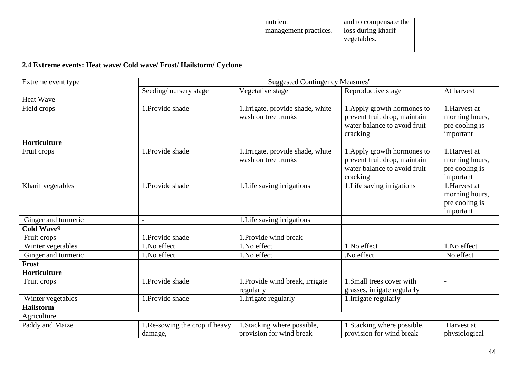| nutrient<br>management practices. | and to compensate the<br>loss during kharif<br>vegetables. |  |
|-----------------------------------|------------------------------------------------------------|--|
|                                   |                                                            |  |

# **2.4 Extreme events: Heat wave/ Cold wave/ Frost/ Hailstorm/ Cyclone**

| Extreme event type     |                                          | Suggested Contingency Measures <sup>r</sup>              |                                                                                                         |                                                               |
|------------------------|------------------------------------------|----------------------------------------------------------|---------------------------------------------------------------------------------------------------------|---------------------------------------------------------------|
|                        | Seeding/nursery stage                    | Vegetative stage                                         | Reproductive stage                                                                                      | At harvest                                                    |
| <b>Heat Wave</b>       |                                          |                                                          |                                                                                                         |                                                               |
| Field crops            | 1.Provide shade                          | 1.Irrigate, provide shade, white<br>wash on tree trunks  | 1. Apply growth hormones to<br>prevent fruit drop, maintain<br>water balance to avoid fruit<br>cracking | 1.Harvest at<br>morning hours,<br>pre cooling is<br>important |
| <b>Horticulture</b>    |                                          |                                                          |                                                                                                         |                                                               |
| Fruit crops            | 1.Provide shade                          | 1. Irrigate, provide shade, white<br>wash on tree trunks | 1. Apply growth hormones to<br>prevent fruit drop, maintain<br>water balance to avoid fruit<br>cracking | 1.Harvest at<br>morning hours,<br>pre cooling is<br>important |
| Kharif vegetables      | 1.Provide shade                          | 1. Life saving irrigations                               | 1. Life saving irrigations                                                                              | 1.Harvest at<br>morning hours,<br>pre cooling is<br>important |
| Ginger and turmeric    |                                          | 1. Life saving irrigations                               |                                                                                                         |                                                               |
| Cold Wave <sup>q</sup> |                                          |                                                          |                                                                                                         |                                                               |
| Fruit crops            | 1.Provide shade                          | 1. Provide wind break                                    |                                                                                                         |                                                               |
| Winter vegetables      | 1.No effect                              | 1.No effect                                              | 1.No effect                                                                                             | 1.No effect                                                   |
| Ginger and turmeric    | 1.No effect                              | 1.No effect                                              | .No effect                                                                                              | .No effect                                                    |
| Frost                  |                                          |                                                          |                                                                                                         |                                                               |
| <b>Horticulture</b>    |                                          |                                                          |                                                                                                         |                                                               |
| Fruit crops            | 1.Provide shade                          | 1. Provide wind break, irrigate<br>regularly             | 1. Small trees cover with<br>grasses, irrigate regularly                                                | $\overline{a}$                                                |
| Winter vegetables      | 1.Provide shade                          | 1. Irrigate regularly                                    | 1. Irrigate regularly                                                                                   | $\overline{a}$                                                |
| <b>Hailstorm</b>       |                                          |                                                          |                                                                                                         |                                                               |
| Agriculture            |                                          |                                                          |                                                                                                         |                                                               |
| Paddy and Maize        | 1.Re-sowing the crop if heavy<br>damage, | 1. Stacking where possible,<br>provision for wind break  | 1. Stacking where possible,<br>provision for wind break                                                 | Harvest at<br>physiological                                   |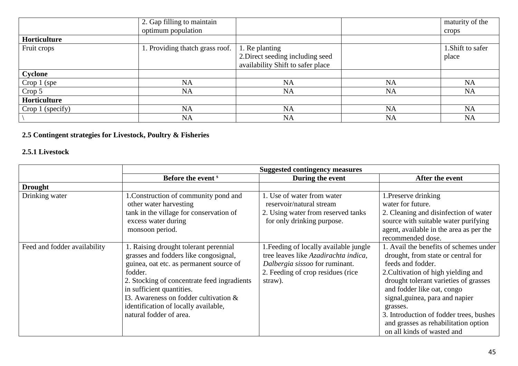|                  | 2. Gap filling to maintain      |                                   |           | maturity of the   |
|------------------|---------------------------------|-----------------------------------|-----------|-------------------|
|                  | optimum population              |                                   |           | crops             |
| Horticulture     |                                 |                                   |           |                   |
| Fruit crops      | 1. Providing thatch grass roof. | 1. Re planting                    |           | 1. Shift to safer |
|                  |                                 | 2. Direct seeding including seed  |           | place             |
|                  |                                 | availability Shift to safer place |           |                   |
| Cyclone          |                                 |                                   |           |                   |
| Crop 1 (spe)     | <b>NA</b>                       | <b>NA</b>                         | <b>NA</b> | <b>NA</b>         |
| Crop 5           | <b>NA</b>                       | <b>NA</b>                         | <b>NA</b> | NA                |
| Horticulture     |                                 |                                   |           |                   |
| Crop 1 (specify) | <b>NA</b>                       | <b>NA</b>                         | <b>NA</b> | <b>NA</b>         |
|                  | <b>NA</b>                       | <b>NA</b>                         | <b>NA</b> | <b>NA</b>         |

# **2.5 Contingent strategies for Livestock, Poultry & Fisheries**

# **2.5.1 Livestock**

|                              | <b>Suggested contingency measures</b>                                                                                                                                                                                                                                                                                        |                                                                                                                                                                   |                                                                                                                                                                                                                                                                                                                                                                                 |  |
|------------------------------|------------------------------------------------------------------------------------------------------------------------------------------------------------------------------------------------------------------------------------------------------------------------------------------------------------------------------|-------------------------------------------------------------------------------------------------------------------------------------------------------------------|---------------------------------------------------------------------------------------------------------------------------------------------------------------------------------------------------------------------------------------------------------------------------------------------------------------------------------------------------------------------------------|--|
|                              | Before the event <sup>s</sup>                                                                                                                                                                                                                                                                                                | During the event                                                                                                                                                  | After the event                                                                                                                                                                                                                                                                                                                                                                 |  |
| <b>Drought</b>               |                                                                                                                                                                                                                                                                                                                              |                                                                                                                                                                   |                                                                                                                                                                                                                                                                                                                                                                                 |  |
| Drinking water               | 1. Construction of community pond and<br>other water harvesting<br>tank in the village for conservation of<br>excess water during<br>monsoon period.                                                                                                                                                                         | 1. Use of water from water<br>reservoir/natural stream<br>2. Using water from reserved tanks<br>for only drinking purpose.                                        | 1. Preserve drinking<br>water for future.<br>2. Cleaning and disinfection of water<br>source with suitable water purifying<br>agent, available in the area as per the<br>recommended dose.                                                                                                                                                                                      |  |
| Feed and fodder availability | 1. Raising drought tolerant perennial<br>grasses and fodders like congosignal,<br>guinea, oat etc. as permanent source of<br>fodder.<br>2. Stocking of concentrate feed ingradients<br>in sufficient quantities.<br>I3. Awareness on fodder cultivation &<br>identification of locally available,<br>natural fodder of area. | 1. Feeding of locally available jungle<br>tree leaves like Azadirachta indica,<br>Dalbergia sissoo for ruminant.<br>2. Feeding of crop residues (rice)<br>straw). | 1. Avail the benefits of schemes under<br>drought, from state or central for<br>feeds and fodder.<br>2. Cultivation of high yielding and<br>drought tolerant varieties of grasses<br>and fodder like oat, congo<br>signal, guinea, para and napier<br>grasses.<br>3. Introduction of fodder trees, bushes<br>and grasses as rehabilitation option<br>on all kinds of wasted and |  |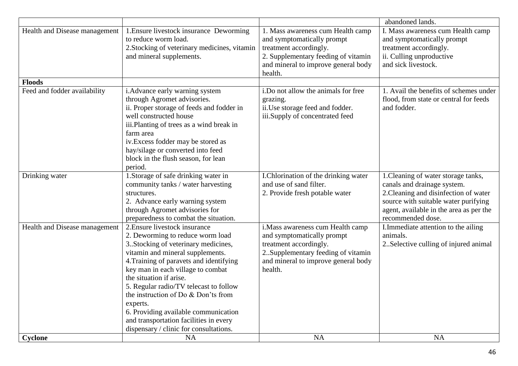|                               |                                              |                                      | abandoned lands.                        |
|-------------------------------|----------------------------------------------|--------------------------------------|-----------------------------------------|
| Health and Disease management | 1. Ensure livestock insurance Deworming      | 1. Mass awareness cum Health camp    | I. Mass awareness cum Health camp       |
|                               | to reduce worm load.                         | and symptomatically prompt           | and symptomatically prompt              |
|                               | 2. Stocking of veterinary medicines, vitamin | treatment accordingly.               | treatment accordingly.                  |
|                               | and mineral supplements.                     | 2. Supplementary feeding of vitamin  | ii. Culling unproductive                |
|                               |                                              | and mineral to improve general body  | and sick livestock.                     |
|                               |                                              | health.                              |                                         |
| <b>Floods</b>                 |                                              |                                      |                                         |
| Feed and fodder availability  | i. Advance early warning system              | i. Do not allow the animals for free | 1. Avail the benefits of schemes under  |
|                               | through Agromet advisories.                  | grazing.                             | flood, from state or central for feeds  |
|                               | ii. Proper storage of feeds and fodder in    | ii.Use storage feed and fodder.      | and fodder.                             |
|                               | well constructed house                       | iii.Supply of concentrated feed      |                                         |
|                               | iii. Planting of trees as a wind break in    |                                      |                                         |
|                               | farm area                                    |                                      |                                         |
|                               | iv. Excess fodder may be stored as           |                                      |                                         |
|                               | hay/silage or converted into feed            |                                      |                                         |
|                               | block in the flush season, for lean          |                                      |                                         |
|                               | period.                                      |                                      |                                         |
| Drinking water                | 1. Storage of safe drinking water in         | I.Chlorination of the drinking water | 1. Cleaning of water storage tanks,     |
|                               | community tanks / water harvesting           | and use of sand filter.              | canals and drainage system.             |
|                               | structures.                                  | 2. Provide fresh potable water       | 2. Cleaning and disinfection of water   |
|                               | 2. Advance early warning system              |                                      | source with suitable water purifying    |
|                               | through Agromet advisories for               |                                      | agent, available in the area as per the |
|                               | preparedness to combat the situation.        |                                      | recommended dose.                       |
| Health and Disease management | 2. Ensure livestock insurance                | i. Mass awareness cum Health camp    | I.Immediate attention to the ailing     |
|                               | 2. Deworming to reduce worm load             | and symptomatically prompt           | animals.                                |
|                               | 3. Stocking of veterinary medicines,         | treatment accordingly.               | 2. Selective culling of injured animal  |
|                               | vitamin and mineral supplements.             | 2. Supplementary feeding of vitamin  |                                         |
|                               | 4. Training of paravets and identifying      | and mineral to improve general body  |                                         |
|                               | key man in each village to combat            | health.                              |                                         |
|                               | the situation if arise.                      |                                      |                                         |
|                               | 5. Regular radio/TV telecast to follow       |                                      |                                         |
|                               | the instruction of Do $&$ Don'ts from        |                                      |                                         |
|                               | experts.                                     |                                      |                                         |
|                               | 6. Providing available communication         |                                      |                                         |
|                               | and transportation facilities in every       |                                      |                                         |
|                               | dispensary / clinic for consultations.       |                                      |                                         |
| Cyclone                       | <b>NA</b>                                    | <b>NA</b>                            | NA                                      |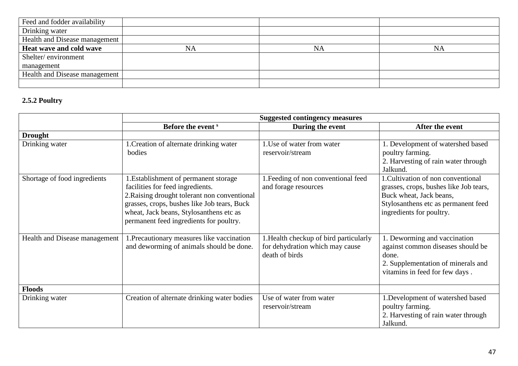| Feed and fodder availability  |           |    |           |
|-------------------------------|-----------|----|-----------|
| Drinking water                |           |    |           |
| Health and Disease management |           |    |           |
| Heat wave and cold wave       | <b>NA</b> | NA | <b>NA</b> |
| Shelter/environment           |           |    |           |
| management                    |           |    |           |
| Health and Disease management |           |    |           |
|                               |           |    |           |

#### **2.5.2 Poultry**

|                               | <b>Suggested contingency measures</b>                                                                                                                                                                                                                          |                                                                                           |                                                                                                                                                                            |  |
|-------------------------------|----------------------------------------------------------------------------------------------------------------------------------------------------------------------------------------------------------------------------------------------------------------|-------------------------------------------------------------------------------------------|----------------------------------------------------------------------------------------------------------------------------------------------------------------------------|--|
|                               | Before the event <sup>s</sup>                                                                                                                                                                                                                                  | During the event                                                                          | After the event                                                                                                                                                            |  |
| <b>Drought</b>                |                                                                                                                                                                                                                                                                |                                                                                           |                                                                                                                                                                            |  |
| Drinking water                | 1. Creation of alternate drinking water<br>bodies                                                                                                                                                                                                              | 1. Use of water from water<br>reservoir/stream                                            | 1. Development of watershed based<br>poultry farming.<br>2. Harvesting of rain water through<br>Jalkund.                                                                   |  |
| Shortage of food ingredients  | 1. Establishment of permanent storage<br>facilities for feed ingredients.<br>2. Raising drought tolerant non conventional<br>grasses, crops, bushes like Job tears, Buck<br>wheat, Jack beans, Stylosanthens etc as<br>permanent feed ingredients for poultry. | 1. Feeding of non conventional feed<br>and forage resources                               | 1. Cultivation of non conventional<br>grasses, crops, bushes like Job tears,<br>Buck wheat, Jack beans,<br>Stylosanthens etc as permanent feed<br>ingredients for poultry. |  |
| Health and Disease management | 1. Precautionary measures like vaccination<br>and deworming of animals should be done.                                                                                                                                                                         | .Health checkup of bird particularly<br>for dehydration which may cause<br>death of birds | 1. Deworming and vaccination<br>against common diseases should be<br>done.<br>2. Supplementation of minerals and<br>vitamins in feed for few days.                         |  |
| <b>Floods</b>                 |                                                                                                                                                                                                                                                                |                                                                                           |                                                                                                                                                                            |  |
| Drinking water                | Creation of alternate drinking water bodies                                                                                                                                                                                                                    | Use of water from water<br>reservoir/stream                                               | 1. Development of watershed based<br>poultry farming.<br>2. Harvesting of rain water through<br>Jalkund.                                                                   |  |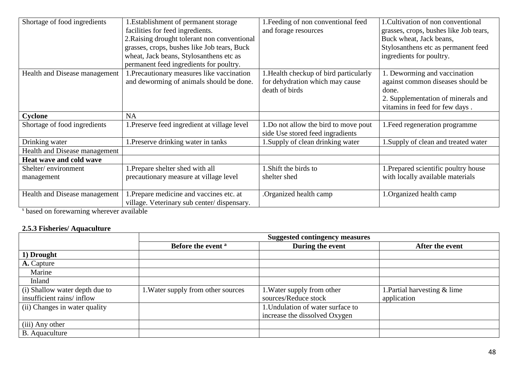| Shortage of food ingredients  | 1. Establishment of permanent storage        | 1. Feeding of non conventional feed   | 1. Cultivation of non conventional                                   |
|-------------------------------|----------------------------------------------|---------------------------------------|----------------------------------------------------------------------|
|                               | facilities for feed ingredients.             | and forage resources                  | grasses, crops, bushes like Job tears,                               |
|                               | 2. Raising drought tolerant non conventional |                                       | Buck wheat, Jack beans,                                              |
|                               | grasses, crops, bushes like Job tears, Buck  |                                       | Stylosanthens etc as permanent feed                                  |
|                               | wheat, Jack beans, Stylosanthens etc as      |                                       | ingredients for poultry.                                             |
|                               | permanent feed ingredients for poultry.      |                                       |                                                                      |
| Health and Disease management | 1. Precautionary measures like vaccination   | .Health checkup of bird particularly  | 1. Deworming and vaccination                                         |
|                               | and deworming of animals should be done.     | for dehydration which may cause       | against common diseases should be                                    |
|                               |                                              | death of birds                        | done.                                                                |
|                               |                                              |                                       | 2. Supplementation of minerals and<br>vitamins in feed for few days. |
| Cyclone                       | <b>NA</b>                                    |                                       |                                                                      |
| Shortage of food ingredients  | 1. Preserve feed ingredient at village level | 1. Do not allow the bird to move pout | 1. Feed regeneration programme                                       |
|                               |                                              | side Use stored feed ingradients      |                                                                      |
| Drinking water                | 1. Preserve drinking water in tanks          | 1. Supply of clean drinking water     | 1. Supply of clean and treated water                                 |
| Health and Disease management |                                              |                                       |                                                                      |
| Heat wave and cold wave       |                                              |                                       |                                                                      |
| Shelter/environment           | 1. Prepare shelter shed with all             | 1. Shift the birds to                 | 1. Prepared scientific poultry house                                 |
| management                    | precautionary measure at village level       | shelter shed                          | with locally available materials                                     |
|                               |                                              |                                       |                                                                      |
| Health and Disease management | 1. Prepare medicine and vaccines etc. at     | Organized health camp.                | 1. Organized health camp                                             |
|                               | village. Veterinary sub center/dispensary.   |                                       |                                                                      |

s based on forewarning wherever available

# **2.5.3 Fisheries/ Aquaculture**

|                                | <b>Suggested contingency measures</b> |                                   |                              |  |
|--------------------------------|---------------------------------------|-----------------------------------|------------------------------|--|
|                                | Before the event <sup>a</sup>         | During the event                  | After the event              |  |
| 1) Drought                     |                                       |                                   |                              |  |
| A. Capture                     |                                       |                                   |                              |  |
| Marine                         |                                       |                                   |                              |  |
| Inland                         |                                       |                                   |                              |  |
| (i) Shallow water depth due to | 1. Water supply from other sources    | 1. Water supply from other        | 1. Partial harvesting & lime |  |
| insufficient rains/inflow      |                                       | sources/Reduce stock              | application                  |  |
| (ii) Changes in water quality  |                                       | 1. Undulation of water surface to |                              |  |
|                                |                                       | increase the dissolved Oxygen     |                              |  |
| (iii) Any other                |                                       |                                   |                              |  |
| B. Aquaculture                 |                                       |                                   |                              |  |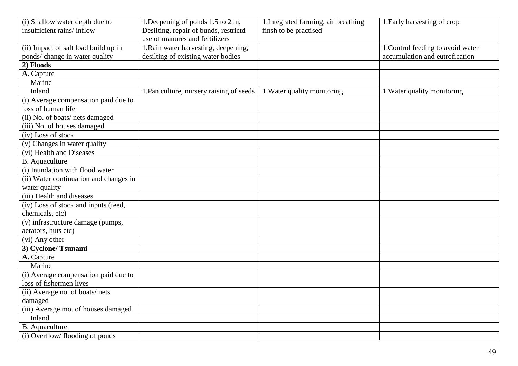| (i) Shallow water depth due to         | 1. Deepening of ponds 1.5 to 2 m,        | 1. Integrated farming, air breathing | 1. Early harvesting of crop       |
|----------------------------------------|------------------------------------------|--------------------------------------|-----------------------------------|
| insufficient rains/inflow              | Desilting, repair of bunds, restrictd    | finsh to be practised                |                                   |
|                                        | use of manures and fertilizers           |                                      |                                   |
| (ii) Impact of salt load build up in   | 1. Rain water harvesting, deepening,     |                                      | 1. Control feeding to avoid water |
| ponds/ change in water quality         | desilting of existing water bodies       |                                      | accumulation and eutrofication    |
| 2) Floods                              |                                          |                                      |                                   |
| A. Capture                             |                                          |                                      |                                   |
| Marine                                 |                                          |                                      |                                   |
| Inland                                 | 1. Pan culture, nursery raising of seeds | 1. Water quality monitoring          | 1. Water quality monitoring       |
| (i) Average compensation paid due to   |                                          |                                      |                                   |
| loss of human life                     |                                          |                                      |                                   |
| (ii) No. of boats/nets damaged         |                                          |                                      |                                   |
| (iii) No. of houses damaged            |                                          |                                      |                                   |
| (iv) Loss of stock                     |                                          |                                      |                                   |
| (v) Changes in water quality           |                                          |                                      |                                   |
| (vi) Health and Diseases               |                                          |                                      |                                   |
| <b>B.</b> Aquaculture                  |                                          |                                      |                                   |
| (i) Inundation with flood water        |                                          |                                      |                                   |
| (ii) Water continuation and changes in |                                          |                                      |                                   |
| water quality                          |                                          |                                      |                                   |
| (iii) Health and diseases              |                                          |                                      |                                   |
| (iv) Loss of stock and inputs (feed,   |                                          |                                      |                                   |
| chemicals, etc)                        |                                          |                                      |                                   |
| (v) infrastructure damage (pumps,      |                                          |                                      |                                   |
| aerators, huts etc)                    |                                          |                                      |                                   |
| (vi) Any other                         |                                          |                                      |                                   |
| 3) Cyclone/Tsunami                     |                                          |                                      |                                   |
| A. Capture                             |                                          |                                      |                                   |
| Marine                                 |                                          |                                      |                                   |
| (i) Average compensation paid due to   |                                          |                                      |                                   |
| loss of fishermen lives                |                                          |                                      |                                   |
| (ii) Average no. of boats/nets         |                                          |                                      |                                   |
| damaged                                |                                          |                                      |                                   |
| (iii) Average mo. of houses damaged    |                                          |                                      |                                   |
| Inland                                 |                                          |                                      |                                   |
| <b>B.</b> Aquaculture                  |                                          |                                      |                                   |
| (i) Overflow/flooding of ponds         |                                          |                                      |                                   |